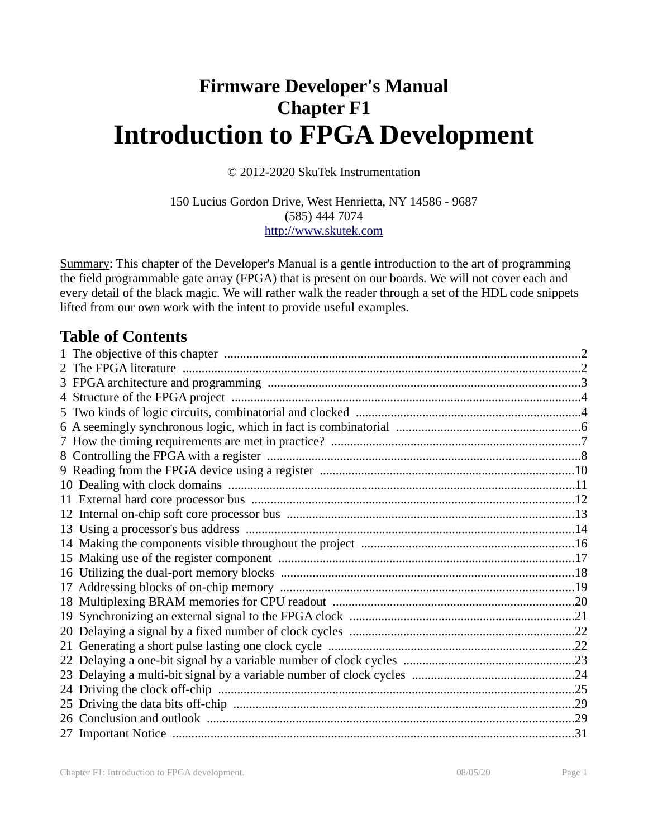# **Firmware Developer's Manual Chapter F1 Introduction to FPGA Development**

© 2012-2020 SkuTek Instrumentation

150 Lucius Gordon Drive, West Henrietta, NY 14586 - 9687 (585) 444 7074 http://www.skutek.com

Summary: This chapter of the Developer's Manual is a gentle introduction to the art of programming the field programmable gate array (FPGA) that is present on our boards. We will not cover each and every detail of the black magic. We will rather walk the reader through a set of the HDL code snippets lifted from our own work with the intent to provide useful examples.

# **Table of Contents**

| 16 |  |
|----|--|
| 17 |  |
| 18 |  |
| 19 |  |
| 20 |  |
| 21 |  |
| 22 |  |
| 23 |  |
|    |  |
|    |  |
|    |  |
|    |  |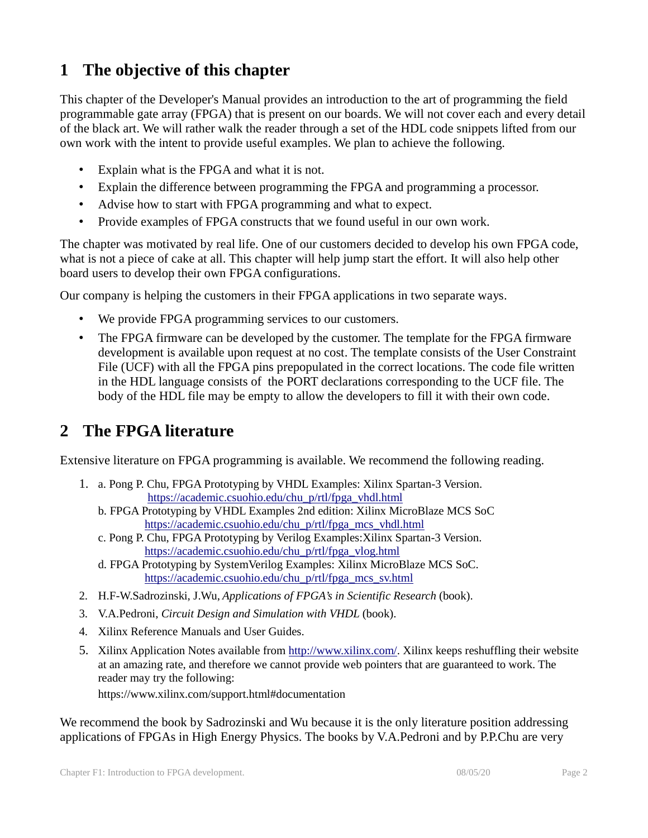# **1 The objective of this chapter**

This chapter of the Developer's Manual provides an introduction to the art of programming the field programmable gate array (FPGA) that is present on our boards. We will not cover each and every detail of the black art. We will rather walk the reader through a set of the HDL code snippets lifted from our own work with the intent to provide useful examples. We plan to achieve the following.

- Explain what is the FPGA and what it is not.
- Explain the difference between programming the FPGA and programming a processor.
- Advise how to start with FPGA programming and what to expect.
- Provide examples of FPGA constructs that we found useful in our own work.

The chapter was motivated by real life. One of our customers decided to develop his own FPGA code, what is not a piece of cake at all. This chapter will help jump start the effort. It will also help other board users to develop their own FPGA configurations.

Our company is helping the customers in their FPGA applications in two separate ways.

- We provide FPGA programming services to our customers.
- The FPGA firmware can be developed by the customer. The template for the FPGA firmware development is available upon request at no cost. The template consists of the User Constraint File (UCF) with all the FPGA pins prepopulated in the correct locations. The code file written in the HDL language consists of the PORT declarations corresponding to the UCF file. The body of the HDL file may be empty to allow the developers to fill it with their own code.

## **2 The FPGA literature**

Extensive literature on FPGA programming is available. We recommend the following reading.

- 1. a. Pong P. Chu, FPGA Prototyping by VHDL Examples: Xilinx Spartan-3 Version. https://academic.csuohio.edu/chu\_p/rtl/fpga\_vhdl.html
	- b. FPGA Prototyping by VHDL Examples 2nd edition: Xilinx MicroBlaze MCS SoC https://academic.csuohio.edu/chu\_p/rtl/fpga\_mcs\_vhdl.html
	- c. Pong P. Chu, FPGA Prototyping by Verilog Examples:Xilinx Spartan-3 Version. https://academic.csuohio.edu/chu\_p/rtl/fpga\_vlog.html
	- d. FPGA Prototyping by SystemVerilog Examples: Xilinx MicroBlaze MCS SoC. https://academic.csuohio.edu/chu\_p/rtl/fpga\_mcs\_sv.html
- 2. H.F-W.Sadrozinski, J.Wu, *Applications of FPGA's in Scientific Research* (book).
- 3. V.A.Pedroni, *Circuit Design and Simulation with VHDL* (book).
- 4. Xilinx Reference Manuals and User Guides.
- 5. Xilinx Application Notes available from http://www.xilinx.com/. Xilinx keeps reshuffling their website at an amazing rate, and therefore we cannot provide web pointers that are guaranteed to work. The reader may try the following:

https://www.xilinx.com/support.html#documentation

We recommend the book by Sadrozinski and Wu because it is the only literature position addressing applications of FPGAs in High Energy Physics. The books by V.A.Pedroni and by P.P.Chu are very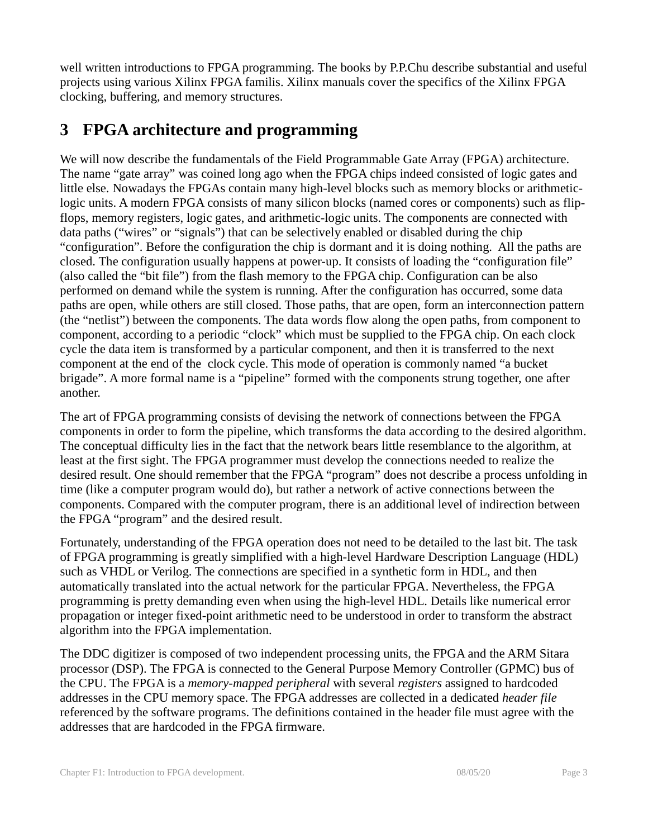well written introductions to FPGA programming. The books by P.P.Chu describe substantial and useful projects using various Xilinx FPGA familis. Xilinx manuals cover the specifics of the Xilinx FPGA clocking, buffering, and memory structures.

# **3 FPGA architecture and programming**

We will now describe the fundamentals of the Field Programmable Gate Array (FPGA) architecture. The name "gate array" was coined long ago when the FPGA chips indeed consisted of logic gates and little else. Nowadays the FPGAs contain many high-level blocks such as memory blocks or arithmeticlogic units. A modern FPGA consists of many silicon blocks (named cores or components) such as flipflops, memory registers, logic gates, and arithmetic-logic units. The components are connected with data paths ("wires" or "signals") that can be selectively enabled or disabled during the chip "configuration". Before the configuration the chip is dormant and it is doing nothing. All the paths are closed. The configuration usually happens at power-up. It consists of loading the "configuration file" (also called the "bit file") from the flash memory to the FPGA chip. Configuration can be also performed on demand while the system is running. After the configuration has occurred, some data paths are open, while others are still closed. Those paths, that are open, form an interconnection pattern (the "netlist") between the components. The data words flow along the open paths, from component to component, according to a periodic "clock" which must be supplied to the FPGA chip. On each clock cycle the data item is transformed by a particular component, and then it is transferred to the next component at the end of the clock cycle. This mode of operation is commonly named "a bucket brigade". A more formal name is a "pipeline" formed with the components strung together, one after another.

The art of FPGA programming consists of devising the network of connections between the FPGA components in order to form the pipeline, which transforms the data according to the desired algorithm. The conceptual difficulty lies in the fact that the network bears little resemblance to the algorithm, at least at the first sight. The FPGA programmer must develop the connections needed to realize the desired result. One should remember that the FPGA "program" does not describe a process unfolding in time (like a computer program would do), but rather a network of active connections between the components. Compared with the computer program, there is an additional level of indirection between the FPGA "program" and the desired result.

Fortunately, understanding of the FPGA operation does not need to be detailed to the last bit. The task of FPGA programming is greatly simplified with a high-level Hardware Description Language (HDL) such as VHDL or Verilog. The connections are specified in a synthetic form in HDL, and then automatically translated into the actual network for the particular FPGA. Nevertheless, the FPGA programming is pretty demanding even when using the high-level HDL. Details like numerical error propagation or integer fixed-point arithmetic need to be understood in order to transform the abstract algorithm into the FPGA implementation.

The DDC digitizer is composed of two independent processing units, the FPGA and the ARM Sitara processor (DSP). The FPGA is connected to the General Purpose Memory Controller (GPMC) bus of the CPU. The FPGA is a *memory-mapped peripheral* with several *registers* assigned to hardcoded addresses in the CPU memory space. The FPGA addresses are collected in a dedicated *header file* referenced by the software programs. The definitions contained in the header file must agree with the addresses that are hardcoded in the FPGA firmware.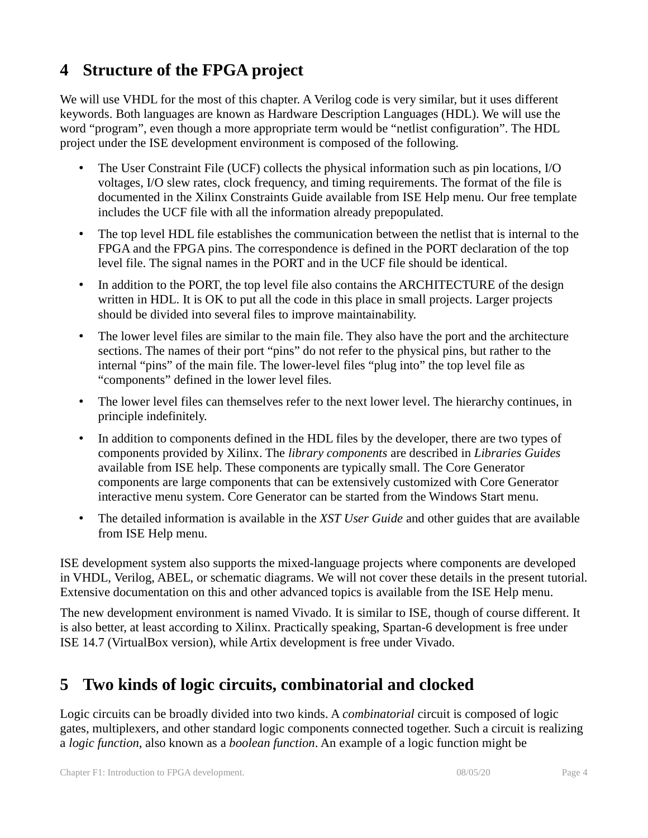# **4 Structure of the FPGA project**

We will use VHDL for the most of this chapter. A Verilog code is very similar, but it uses different keywords. Both languages are known as Hardware Description Languages (HDL). We will use the word "program", even though a more appropriate term would be "netlist configuration". The HDL project under the ISE development environment is composed of the following.

- The User Constraint File (UCF) collects the physical information such as pin locations, I/O voltages, I/O slew rates, clock frequency, and timing requirements. The format of the file is documented in the Xilinx Constraints Guide available from ISE Help menu. Our free template includes the UCF file with all the information already prepopulated.
- The top level HDL file establishes the communication between the netlist that is internal to the FPGA and the FPGA pins. The correspondence is defined in the PORT declaration of the top level file. The signal names in the PORT and in the UCF file should be identical.
- In addition to the PORT, the top level file also contains the ARCHITECTURE of the design written in HDL. It is OK to put all the code in this place in small projects. Larger projects should be divided into several files to improve maintainability.
- The lower level files are similar to the main file. They also have the port and the architecture sections. The names of their port "pins" do not refer to the physical pins, but rather to the internal "pins" of the main file. The lower-level files "plug into" the top level file as "components" defined in the lower level files.
- The lower level files can themselves refer to the next lower level. The hierarchy continues, in principle indefinitely.
- In addition to components defined in the HDL files by the developer, there are two types of components provided by Xilinx. The *library components* are described in *Libraries Guides* available from ISE help. These components are typically small. The Core Generator components are large components that can be extensively customized with Core Generator interactive menu system. Core Generator can be started from the Windows Start menu.
- The detailed information is available in the *XST User Guide* and other guides that are available from ISE Help menu.

ISE development system also supports the mixed-language projects where components are developed in VHDL, Verilog, ABEL, or schematic diagrams. We will not cover these details in the present tutorial. Extensive documentation on this and other advanced topics is available from the ISE Help menu.

The new development environment is named Vivado. It is similar to ISE, though of course different. It is also better, at least according to Xilinx. Practically speaking, Spartan-6 development is free under ISE 14.7 (VirtualBox version), while Artix development is free under Vivado.

# **5 Two kinds of logic circuits, combinatorial and clocked**

Logic circuits can be broadly divided into two kinds. A *combinatorial* circuit is composed of logic gates, multiplexers, and other standard logic components connected together. Such a circuit is realizing a *logic function*, also known as a *boolean function*. An example of a logic function might be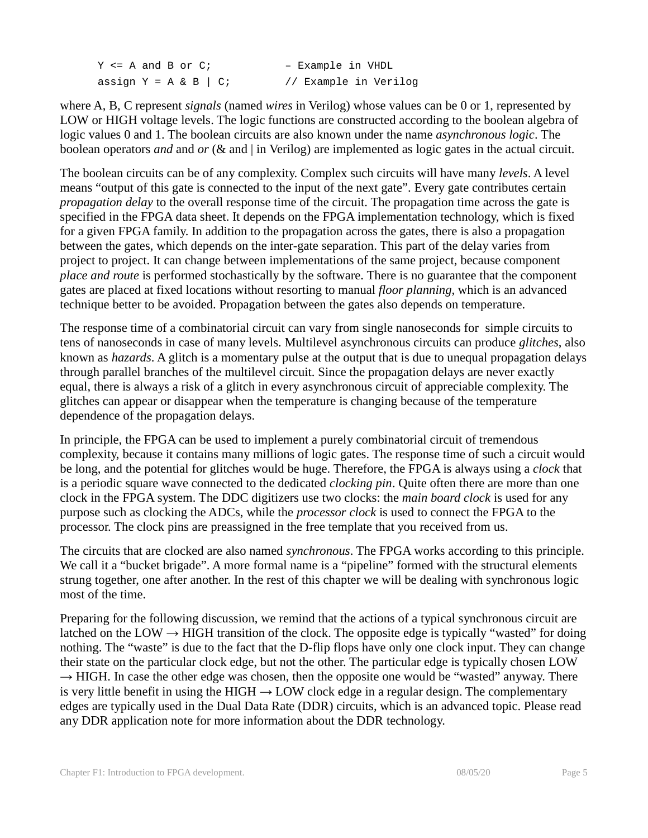Y <= A and B or C; - Example in VHDL assign  $Y = A & B \mid C$ ; // Example in Verilog

where A, B, C represent *signals* (named *wires* in Verilog) whose values can be 0 or 1, represented by LOW or HIGH voltage levels. The logic functions are constructed according to the boolean algebra of logic values 0 and 1. The boolean circuits are also known under the name *asynchronous logic*. The boolean operators *and* and *or* (& and | in Verilog) are implemented as logic gates in the actual circuit.

The boolean circuits can be of any complexity. Complex such circuits will have many *levels*. A level means "output of this gate is connected to the input of the next gate". Every gate contributes certain *propagation delay* to the overall response time of the circuit. The propagation time across the gate is specified in the FPGA data sheet. It depends on the FPGA implementation technology, which is fixed for a given FPGA family. In addition to the propagation across the gates, there is also a propagation between the gates, which depends on the inter-gate separation. This part of the delay varies from project to project. It can change between implementations of the same project, because component *place and route* is performed stochastically by the software. There is no guarantee that the component gates are placed at fixed locations without resorting to manual *floor planning*, which is an advanced technique better to be avoided. Propagation between the gates also depends on temperature.

The response time of a combinatorial circuit can vary from single nanoseconds for simple circuits to tens of nanoseconds in case of many levels. Multilevel asynchronous circuits can produce *glitches*, also known as *hazards*. A glitch is a momentary pulse at the output that is due to unequal propagation delays through parallel branches of the multilevel circuit. Since the propagation delays are never exactly equal, there is always a risk of a glitch in every asynchronous circuit of appreciable complexity. The glitches can appear or disappear when the temperature is changing because of the temperature dependence of the propagation delays.

In principle, the FPGA can be used to implement a purely combinatorial circuit of tremendous complexity, because it contains many millions of logic gates. The response time of such a circuit would be long, and the potential for glitches would be huge. Therefore, the FPGA is always using a *clock* that is a periodic square wave connected to the dedicated *clocking pin*. Quite often there are more than one clock in the FPGA system. The DDC digitizers use two clocks: the *main board clock* is used for any purpose such as clocking the ADCs, while the *processor clock* is used to connect the FPGA to the processor. The clock pins are preassigned in the free template that you received from us.

The circuits that are clocked are also named *synchronous*. The FPGA works according to this principle. We call it a "bucket brigade". A more formal name is a "pipeline" formed with the structural elements strung together, one after another. In the rest of this chapter we will be dealing with synchronous logic most of the time.

Preparing for the following discussion, we remind that the actions of a typical synchronous circuit are latched on the LOW  $\rightarrow$  HIGH transition of the clock. The opposite edge is typically "wasted" for doing nothing. The "waste" is due to the fact that the D-flip flops have only one clock input. They can change their state on the particular clock edge, but not the other. The particular edge is typically chosen LOW  $\rightarrow$  HIGH. In case the other edge was chosen, then the opposite one would be "wasted" anyway. There is very little benefit in using the HIGH  $\rightarrow$  LOW clock edge in a regular design. The complementary edges are typically used in the Dual Data Rate (DDR) circuits, which is an advanced topic. Please read any DDR application note for more information about the DDR technology.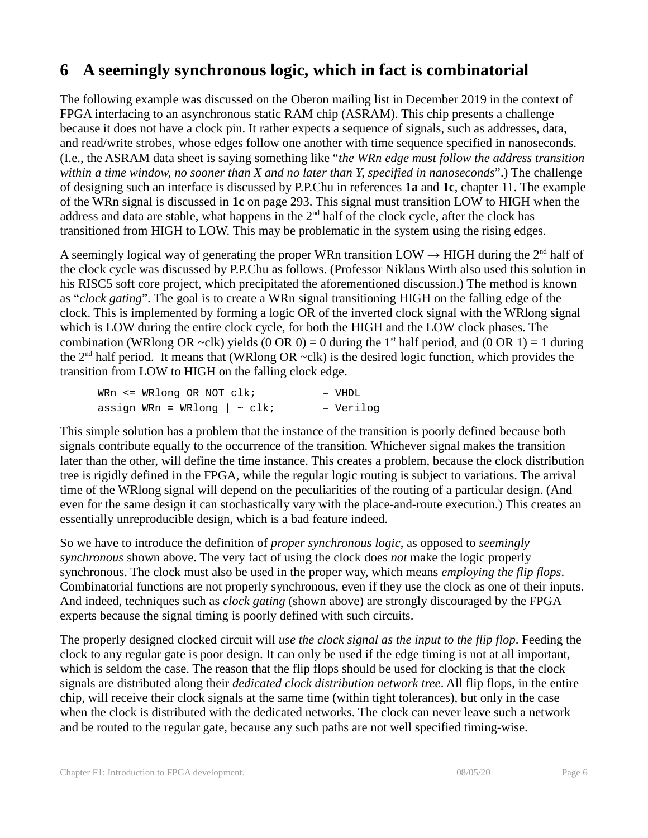# **6 A seemingly synchronous logic, which in fact is combinatorial**

The following example was discussed on the Oberon mailing list in December 2019 in the context of FPGA interfacing to an asynchronous static RAM chip (ASRAM). This chip presents a challenge because it does not have a clock pin. It rather expects a sequence of signals, such as addresses, data, and read/write strobes, whose edges follow one another with time sequence specified in nanoseconds. (I.e., the ASRAM data sheet is saying something like "*the WRn edge must follow the address transition within a time window, no sooner than X and no later than Y, specified in nanoseconds*".) The challenge of designing such an interface is discussed by P.P.Chu in references **1a** and **1c**, chapter 11. The example of the WRn signal is discussed in **1c** on page 293. This signal must transition LOW to HIGH when the address and data are stable, what happens in the  $2<sup>nd</sup>$  half of the clock cycle, after the clock has transitioned from HIGH to LOW. This may be problematic in the system using the rising edges.

A seemingly logical way of generating the proper WRn transition LOW  $\rightarrow$  HIGH during the 2<sup>nd</sup> half of the clock cycle was discussed by P.P.Chu as follows. (Professor Niklaus Wirth also used this solution in his RISC5 soft core project, which precipitated the aforementioned discussion.) The method is known as "*clock gating*". The goal is to create a WRn signal transitioning HIGH on the falling edge of the clock. This is implemented by forming a logic OR of the inverted clock signal with the WRlong signal which is LOW during the entire clock cycle, for both the HIGH and the LOW clock phases. The combination (WRlong OR ~clk) yields (0 OR 0) = 0 during the 1<sup>st</sup> half period, and (0 OR 1) = 1 during the  $2<sup>nd</sup>$  half period. It means that (WRlong OR ~clk) is the desired logic function, which provides the transition from LOW to HIGH on the falling clock edge.

| WRn $\leq$ WRlong OR NOT clk;      |  | - VHDL    |
|------------------------------------|--|-----------|
| assign WRn = WRlong $  \sim c1k$ ; |  | - Verilog |

This simple solution has a problem that the instance of the transition is poorly defined because both signals contribute equally to the occurrence of the transition. Whichever signal makes the transition later than the other, will define the time instance. This creates a problem, because the clock distribution tree is rigidly defined in the FPGA, while the regular logic routing is subject to variations. The arrival time of the WRlong signal will depend on the peculiarities of the routing of a particular design. (And even for the same design it can stochastically vary with the place-and-route execution.) This creates an essentially unreproducible design, which is a bad feature indeed.

So we have to introduce the definition of *proper synchronous logic*, as opposed to *seemingly synchronous* shown above. The very fact of using the clock does *not* make the logic properly synchronous. The clock must also be used in the proper way, which means *employing the flip flops*. Combinatorial functions are not properly synchronous, even if they use the clock as one of their inputs. And indeed, techniques such as *clock gating* (shown above) are strongly discouraged by the FPGA experts because the signal timing is poorly defined with such circuits.

The properly designed clocked circuit will *use the clock signal as the input to the flip flop*. Feeding the clock to any regular gate is poor design. It can only be used if the edge timing is not at all important, which is seldom the case. The reason that the flip flops should be used for clocking is that the clock signals are distributed along their *dedicated clock distribution network tree*. All flip flops, in the entire chip, will receive their clock signals at the same time (within tight tolerances), but only in the case when the clock is distributed with the dedicated networks. The clock can never leave such a network and be routed to the regular gate, because any such paths are not well specified timing-wise.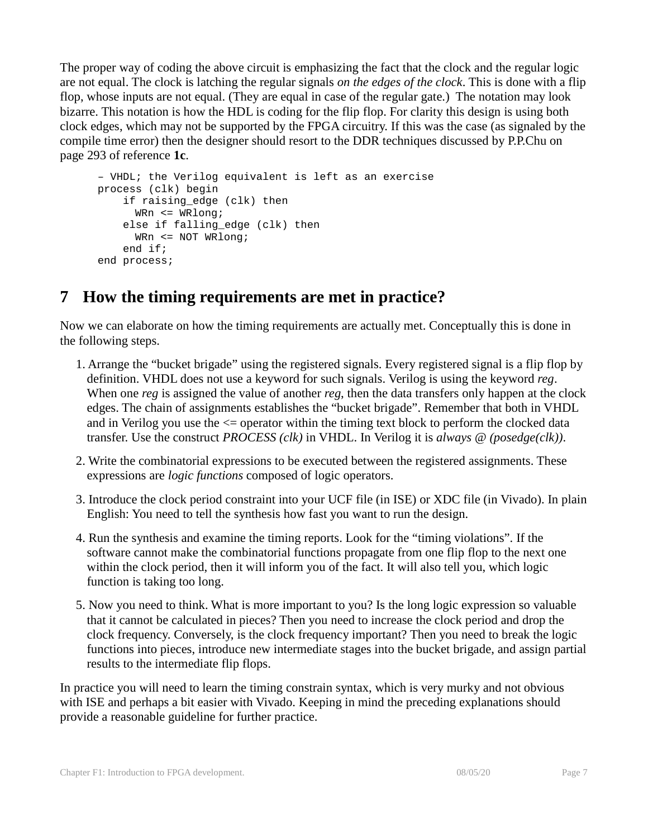The proper way of coding the above circuit is emphasizing the fact that the clock and the regular logic are not equal. The clock is latching the regular signals *on the edges of the clock*. This is done with a flip flop, whose inputs are not equal. (They are equal in case of the regular gate.) The notation may look bizarre. This notation is how the HDL is coding for the flip flop. For clarity this design is using both clock edges, which may not be supported by the FPGA circuitry. If this was the case (as signaled by the compile time error) then the designer should resort to the DDR techniques discussed by P.P.Chu on page 293 of reference **1c**.

```
– VHDL; the Verilog equivalent is left as an exercise
process (clk) begin
     if raising_edge (clk) then 
     WRn <= WRlong;
     else if falling_edge (clk) then 
      WRn <= NOT WRlong;
     end if;
end process;
```
# **7 How the timing requirements are met in practice?**

Now we can elaborate on how the timing requirements are actually met. Conceptually this is done in the following steps.

- 1. Arrange the "bucket brigade" using the registered signals. Every registered signal is a flip flop by definition. VHDL does not use a keyword for such signals. Verilog is using the keyword *reg*. When one *reg* is assigned the value of another *reg*, then the data transfers only happen at the clock edges. The chain of assignments establishes the "bucket brigade". Remember that both in VHDL and in Verilog you use the <= operator within the timing text block to perform the clocked data transfer. Use the construct *PROCESS (clk)* in VHDL. In Verilog it is *always @ (posedge(clk))*.
- 2. Write the combinatorial expressions to be executed between the registered assignments. These expressions are *logic functions* composed of logic operators.
- 3. Introduce the clock period constraint into your UCF file (in ISE) or XDC file (in Vivado). In plain English: You need to tell the synthesis how fast you want to run the design.
- 4. Run the synthesis and examine the timing reports. Look for the "timing violations". If the software cannot make the combinatorial functions propagate from one flip flop to the next one within the clock period, then it will inform you of the fact. It will also tell you, which logic function is taking too long.
- 5. Now you need to think. What is more important to you? Is the long logic expression so valuable that it cannot be calculated in pieces? Then you need to increase the clock period and drop the clock frequency. Conversely, is the clock frequency important? Then you need to break the logic functions into pieces, introduce new intermediate stages into the bucket brigade, and assign partial results to the intermediate flip flops.

In practice you will need to learn the timing constrain syntax, which is very murky and not obvious with ISE and perhaps a bit easier with Vivado. Keeping in mind the preceding explanations should provide a reasonable guideline for further practice.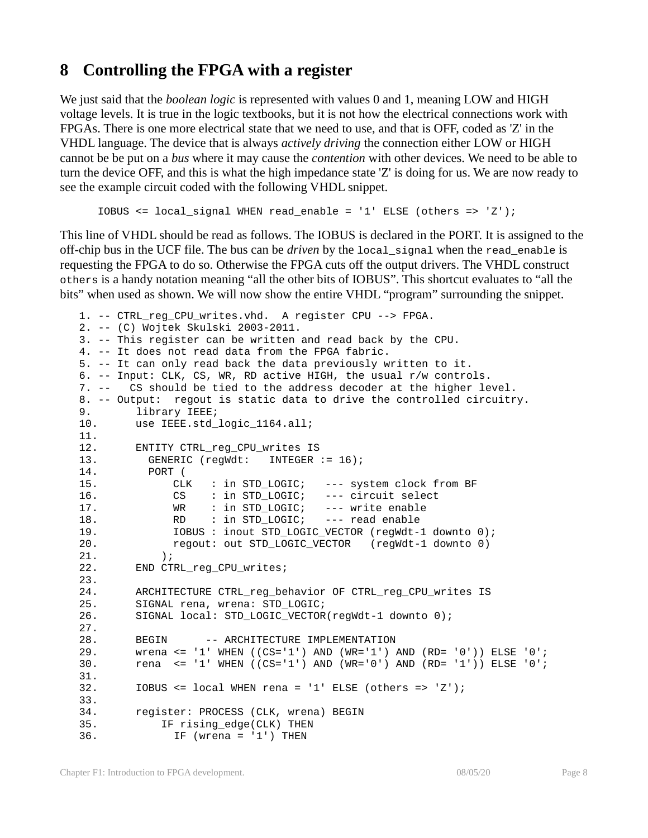### **8 Controlling the FPGA with a register**

We just said that the *boolean logic* is represented with values 0 and 1, meaning LOW and HIGH voltage levels. It is true in the logic textbooks, but it is not how the electrical connections work with FPGAs. There is one more electrical state that we need to use, and that is OFF, coded as 'Z' in the VHDL language. The device that is always *actively driving* the connection either LOW or HIGH cannot be be put on a *bus* where it may cause the *contention* with other devices. We need to be able to turn the device OFF, and this is what the high impedance state 'Z' is doing for us. We are now ready to see the example circuit coded with the following VHDL snippet.

```
IOBUS <= local signal WHEN read enable = '1' ELSE (others => 'Z');
```
This line of VHDL should be read as follows. The IOBUS is declared in the PORT. It is assigned to the off-chip bus in the UCF file. The bus can be *driven* by the local\_signal when the read\_enable is requesting the FPGA to do so. Otherwise the FPGA cuts off the output drivers. The VHDL construct others is a handy notation meaning "all the other bits of IOBUS". This shortcut evaluates to "all the bits" when used as shown. We will now show the entire VHDL "program" surrounding the snippet.

```
1. -- CTRL reg CPU writes.vhd. A register CPU --> FPGA.
2. -- (C) Wojtek Skulski 2003-2011.
3. -- This register can be written and read back by the CPU. 
4. -- It does not read data from the FPGA fabric. 
5. -- It can only read back the data previously written to it.
6. -- Input: CLK, CS, WR, RD active HIGH, the usual r/w controls. 
7. -- CS should be tied to the address decoder at the higher level. 
8. -- Output: regout is static data to drive the controlled circuitry.
9. library IEEE;
10. use IEEE.std_logic_1164.all;
11.
12. ENTITY CTRL_reg_CPU_writes IS
13. GENERIC (regWdt: INTEGER := 16);
14. PORT (<br>15. CLK
15. CLK : in STD_LOGIC; --- system clock from BF
16. CS : in STD LOGIC; --- circuit select
17. WR : in STD LOGIC; --- write enable
18. RD : in STD_LOGIC; --- read enable
19. IOBUS : inout STD_LOGIC_VECTOR (regWdt-1 downto 0);
20. regout: out STD LOGIC VECTOR (regWdt-1 downto 0)
21. );
22. END CTRL_reg_CPU_writes;
23.
24. ARCHITECTURE CTRL_reg_behavior OF CTRL_reg_CPU_writes IS
25. SIGNAL rena, wrena: STD_LOGIC;
26. SIGNAL local: STD_LOGIC_VECTOR(regWdt-1 downto 0);
27.
28. BEGIN -- ARCHITECTURE IMPLEMENTATION
29. wrena <= '1' WHEN ((CS='1') AND (WR='1') AND (RD= '0')) ELSE '0';
30. rena <= '1' WHEN ((CS='1') AND (WR='0') AND (RD= '1')) ELSE '0';
31.
32. IOBUS <= local WHEN rena = '1' ELSE (others => 'Z');
33.
34. register: PROCESS (CLK, wrena) BEGIN
35. IF rising_edge(CLK) THEN
36. IF (wrena = '1') THEN
```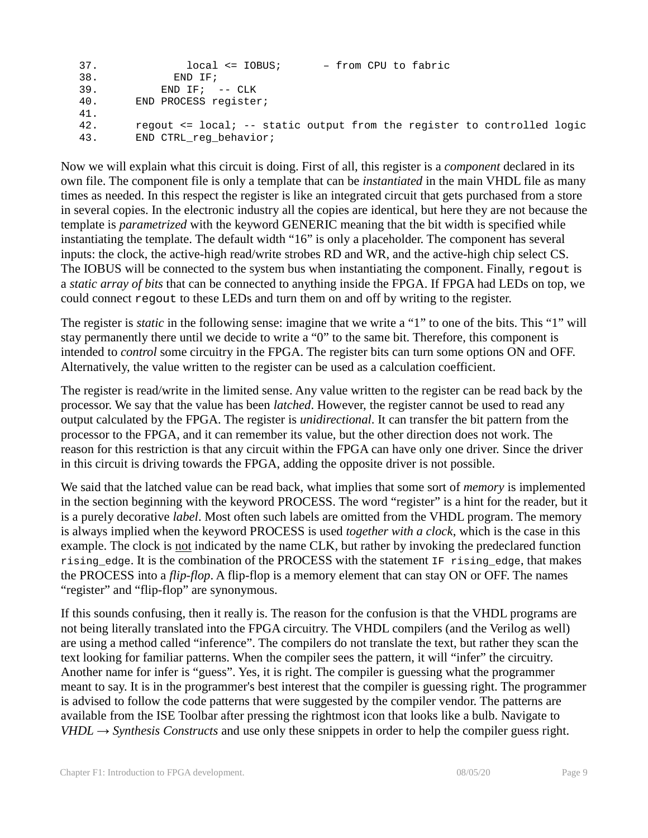```
37. local <= IOBUS; – from CPU to fabric
38. END IF;
39. END IF; -- CLK
40. END PROCESS register;
41.
42. regout <= local; -- static output from the register to controlled logic
43. END CTRL_reg_behavior;
```
Now we will explain what this circuit is doing. First of all, this register is a *component* declared in its own file. The component file is only a template that can be *instantiated* in the main VHDL file as many times as needed. In this respect the register is like an integrated circuit that gets purchased from a store in several copies. In the electronic industry all the copies are identical, but here they are not because the template is *parametrized* with the keyword GENERIC meaning that the bit width is specified while instantiating the template. The default width "16" is only a placeholder. The component has several inputs: the clock, the active-high read/write strobes RD and WR, and the active-high chip select CS. The IOBUS will be connected to the system bus when instantiating the component. Finally, regout is a *static array of bits* that can be connected to anything inside the FPGA. If FPGA had LEDs on top, we could connect regout to these LEDs and turn them on and off by writing to the register.

The register is *static* in the following sense: imagine that we write a "1" to one of the bits. This "1" will stay permanently there until we decide to write a "0" to the same bit. Therefore, this component is intended to *control* some circuitry in the FPGA. The register bits can turn some options ON and OFF. Alternatively, the value written to the register can be used as a calculation coefficient.

The register is read/write in the limited sense. Any value written to the register can be read back by the processor. We say that the value has been *latched*. However, the register cannot be used to read any output calculated by the FPGA. The register is *unidirectional*. It can transfer the bit pattern from the processor to the FPGA, and it can remember its value, but the other direction does not work. The reason for this restriction is that any circuit within the FPGA can have only one driver. Since the driver in this circuit is driving towards the FPGA, adding the opposite driver is not possible.

We said that the latched value can be read back, what implies that some sort of *memory* is implemented in the section beginning with the keyword PROCESS. The word "register" is a hint for the reader, but it is a purely decorative *label*. Most often such labels are omitted from the VHDL program. The memory is always implied when the keyword PROCESS is used *together with a clock*, which is the case in this example. The clock is <u>not</u> indicated by the name CLK, but rather by invoking the predeclared function rising\_edge. It is the combination of the PROCESS with the statement IF rising\_edge, that makes the PROCESS into a *flip-flop*. A flip-flop is a memory element that can stay ON or OFF. The names "register" and "flip-flop" are synonymous.

If this sounds confusing, then it really is. The reason for the confusion is that the VHDL programs are not being literally translated into the FPGA circuitry. The VHDL compilers (and the Verilog as well) are using a method called "inference". The compilers do not translate the text, but rather they scan the text looking for familiar patterns. When the compiler sees the pattern, it will "infer" the circuitry. Another name for infer is "guess". Yes, it is right. The compiler is guessing what the programmer meant to say. It is in the programmer's best interest that the compiler is guessing right. The programmer is advised to follow the code patterns that were suggested by the compiler vendor. The patterns are available from the ISE Toolbar after pressing the rightmost icon that looks like a bulb. Navigate to  $VHDL \rightarrow Synthesis$  Constructs and use only these snippets in order to help the compiler guess right.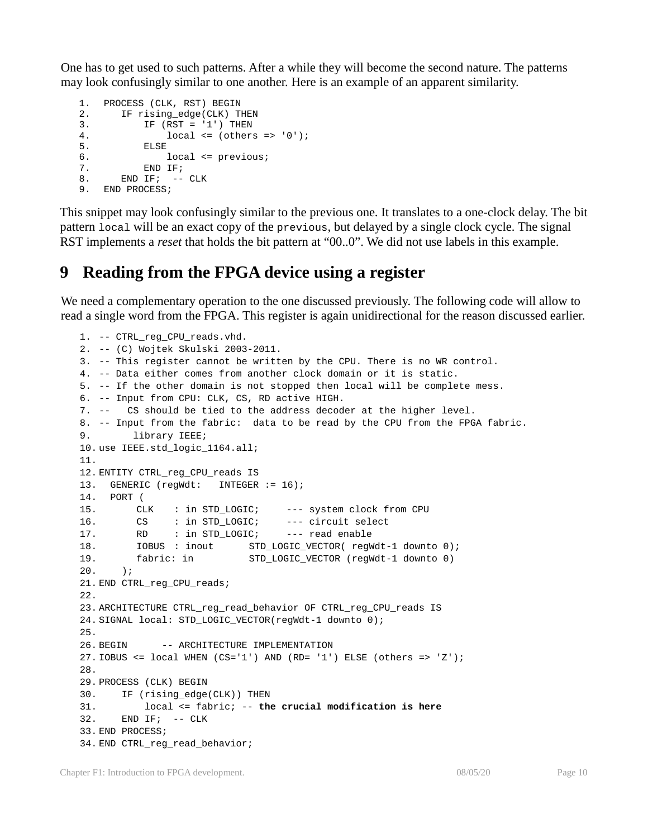One has to get used to such patterns. After a while they will become the second nature. The patterns may look confusingly similar to one another. Here is an example of an apparent similarity.

```
1. PROCESS (CLK, RST) BEGIN
2. IF rising_edge(CLK) THEN<br>3. IF (RST = '1') THEN
        IF (RST = '1') THEN4. local \le (others \Rightarrow '0');<br>
5. ELSE5. ELSE<br>6. 1
6. local <= previous;<br>7. END IF;
6.<br>7. END IF;<br>8. END IF; --
     END IF; -- CLK
9. END PROCESS;
```
This snippet may look confusingly similar to the previous one. It translates to a one-clock delay. The bit pattern local will be an exact copy of the previous, but delayed by a single clock cycle. The signal RST implements a *reset* that holds the bit pattern at "00..0". We did not use labels in this example.

### **9 Reading from the FPGA device using a register**

We need a complementary operation to the one discussed previously. The following code will allow to read a single word from the FPGA. This register is again unidirectional for the reason discussed earlier.

```
1. -- CTRL_reg_CPU_reads.vhd. 
2. -- (C) Wojtek Skulski 2003-2011. 
3. -- This register cannot be written by the CPU. There is no WR control.
4. -- Data either comes from another clock domain or it is static.
5. -- If the other domain is not stopped then local will be complete mess.
6. -- Input from CPU: CLK, CS, RD active HIGH. 
7. -- CS should be tied to the address decoder at the higher level. 
8. -- Input from the fabric: data to be read by the CPU from the FPGA fabric.
9. library IEEE;
10. use IEEE.std_logic_1164.all;
11.
12. ENTITY CTRL_reg_CPU_reads IS
13. GENERIC (regWdt: INTEGER := 16);
14. PORT (
15. CLK : in STD_LOGIC; --- system clock from CPU
16. CS : in STD_LOGIC; --- circuit select
17. RD : in STD_LOGIC; --- read enable
18. IOBUS : inout STD_LOGIC_VECTOR( regWdt-1 downto 0);
19. fabric: in STD_LOGIC_VECTOR (regWdt-1 downto 0)
20. ) \boldsymbol{i}21. END CTRL_reg_CPU_reads;
22.
23. ARCHITECTURE CTRL_reg_read_behavior OF CTRL_reg_CPU_reads IS
24. SIGNAL local: STD_LOGIC_VECTOR(regWdt-1 downto 0);
25.
26. BEGIN -- ARCHITECTURE IMPLEMENTATION
27. IOBUS <= local WHEN (CS='1') AND (RD= '1') ELSE (others => 'Z');
28.
29. PROCESS (CLK) BEGIN
30. IF (rising_edge(CLK)) THEN
31. local <= fabric; -- the crucial modification is here
32. END IF; -- CLK
33. END PROCESS;
34. END CTRL_reg_read_behavior;
```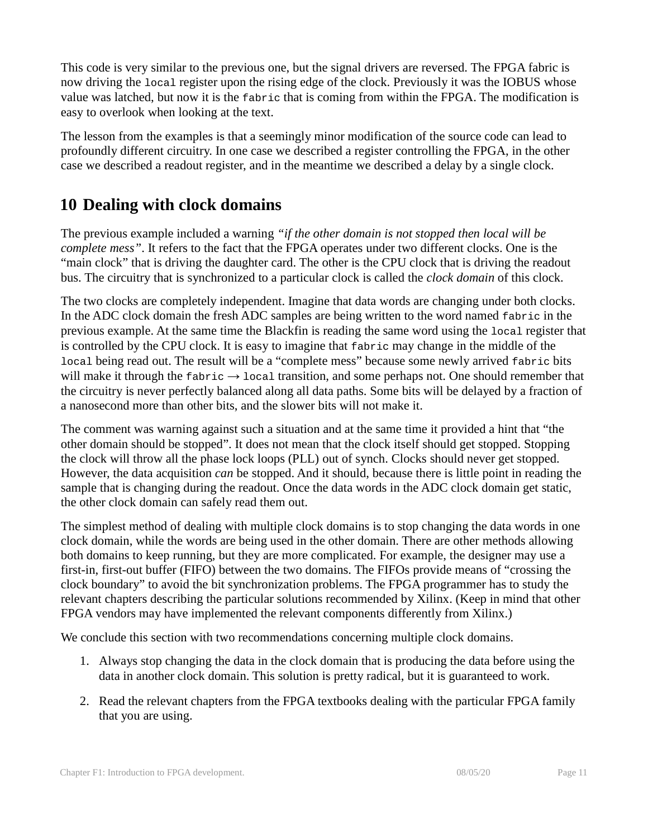This code is very similar to the previous one, but the signal drivers are reversed. The FPGA fabric is now driving the local register upon the rising edge of the clock. Previously it was the IOBUS whose value was latched, but now it is the fabric that is coming from within the FPGA. The modification is easy to overlook when looking at the text.

The lesson from the examples is that a seemingly minor modification of the source code can lead to profoundly different circuitry. In one case we described a register controlling the FPGA, in the other case we described a readout register, and in the meantime we described a delay by a single clock.

# **10 Dealing with clock domains**

The previous example included a warning *"if the other domain is not stopped then local will be complete mess"*. It refers to the fact that the FPGA operates under two different clocks. One is the "main clock" that is driving the daughter card. The other is the CPU clock that is driving the readout bus. The circuitry that is synchronized to a particular clock is called the *clock domain* of this clock.

The two clocks are completely independent. Imagine that data words are changing under both clocks. In the ADC clock domain the fresh ADC samples are being written to the word named fabric in the previous example. At the same time the Blackfin is reading the same word using the local register that is controlled by the CPU clock. It is easy to imagine that fabric may change in the middle of the local being read out. The result will be a "complete mess" because some newly arrived fabric bits will make it through the  $f_{\text{abric}} \rightarrow$  local transition, and some perhaps not. One should remember that the circuitry is never perfectly balanced along all data paths. Some bits will be delayed by a fraction of a nanosecond more than other bits, and the slower bits will not make it.

The comment was warning against such a situation and at the same time it provided a hint that "the other domain should be stopped". It does not mean that the clock itself should get stopped. Stopping the clock will throw all the phase lock loops (PLL) out of synch. Clocks should never get stopped. However, the data acquisition *can* be stopped. And it should, because there is little point in reading the sample that is changing during the readout. Once the data words in the ADC clock domain get static, the other clock domain can safely read them out.

The simplest method of dealing with multiple clock domains is to stop changing the data words in one clock domain, while the words are being used in the other domain. There are other methods allowing both domains to keep running, but they are more complicated. For example, the designer may use a first-in, first-out buffer (FIFO) between the two domains. The FIFOs provide means of "crossing the clock boundary" to avoid the bit synchronization problems. The FPGA programmer has to study the relevant chapters describing the particular solutions recommended by Xilinx. (Keep in mind that other FPGA vendors may have implemented the relevant components differently from Xilinx.)

We conclude this section with two recommendations concerning multiple clock domains.

- 1. Always stop changing the data in the clock domain that is producing the data before using the data in another clock domain. This solution is pretty radical, but it is guaranteed to work.
- 2. Read the relevant chapters from the FPGA textbooks dealing with the particular FPGA family that you are using.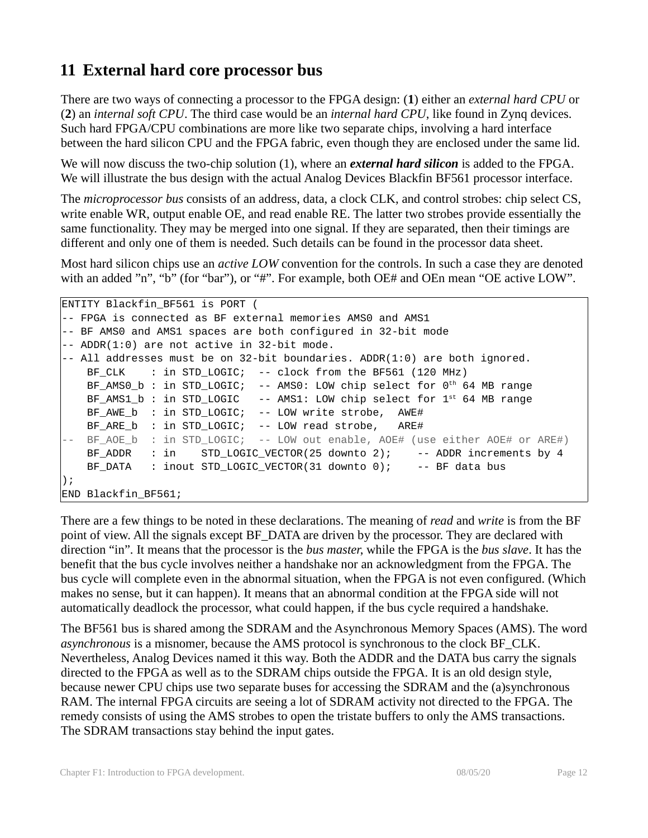# **11 External hard core processor bus**

There are two ways of connecting a processor to the FPGA design: (**1**) either an *external hard CPU* or (**2**) an *internal soft CPU*. The third case would be an *internal hard CPU*, like found in Zynq devices. Such hard FPGA/CPU combinations are more like two separate chips, involving a hard interface between the hard silicon CPU and the FPGA fabric, even though they are enclosed under the same lid.

We will now discuss the two-chip solution (1), where an *external hard silicon* is added to the FPGA. We will illustrate the bus design with the actual Analog Devices Blackfin BF561 processor interface.

The *microprocessor bus* consists of an address, data, a clock CLK, and control strobes: chip select CS, write enable WR, output enable OE, and read enable RE. The latter two strobes provide essentially the same functionality. They may be merged into one signal. If they are separated, then their timings are different and only one of them is needed. Such details can be found in the processor data sheet.

Most hard silicon chips use an *active LOW* convention for the controls. In such a case they are denoted with an added "n", "b" (for "bar"), or "#". For example, both OE# and OEn mean "OE active LOW".

```
ENTITY Blackfin_BF561 is PORT (
-- FPGA is connected as BF external memories AMS0 and AMS1
-- BF AMS0 and AMS1 spaces are both configured in 32-bit mode
-- ADDR(1:0) are not active in 32-bit mode. 
-- All addresses must be on 32-bit boundaries. ADDR(1:0) are both ignored.
   BF_CLK : in STD_LOGIC; -- clock from the BF561 (120 MHz)
   BF AMS0 b: in STD LOGIC; -- AMS0: LOW chip select for 0<sup>th</sup> 64 MB range
   BF AMS1 b : in STD LOGIC -- AMS1: LOW chip select for 1^{st} 64 MB range
   BF AWE b : in STD LOGIC; -- LOW write strobe, AWE#
   BF ARE b : in STD LOGIC; -- LOW read strobe, ARE#
-- BF AOE b : in STD LOGIC; -- LOW out enable, AOE# (use either AOE# or ARE#)
    BF_ADDR : in STD_LOGIC_VECTOR(25 downto 2); -- ADDR increments by 4
   BF_DATA : inout STD_LOGIC_VECTOR(31 downto 0); -- BF data bus
);
END Blackfin_BF561;
```
There are a few things to be noted in these declarations. The meaning of *read* and *write* is from the BF point of view. All the signals except BF\_DATA are driven by the processor. They are declared with direction "in". It means that the processor is the *bus master*, while the FPGA is the *bus slave*. It has the benefit that the bus cycle involves neither a handshake nor an acknowledgment from the FPGA. The bus cycle will complete even in the abnormal situation, when the FPGA is not even configured. (Which makes no sense, but it can happen). It means that an abnormal condition at the FPGA side will not automatically deadlock the processor, what could happen, if the bus cycle required a handshake.

The BF561 bus is shared among the SDRAM and the Asynchronous Memory Spaces (AMS). The word *asynchronous* is a misnomer, because the AMS protocol is synchronous to the clock BF\_CLK. Nevertheless, Analog Devices named it this way. Both the ADDR and the DATA bus carry the signals directed to the FPGA as well as to the SDRAM chips outside the FPGA. It is an old design style, because newer CPU chips use two separate buses for accessing the SDRAM and the (a)synchronous RAM. The internal FPGA circuits are seeing a lot of SDRAM activity not directed to the FPGA. The remedy consists of using the AMS strobes to open the tristate buffers to only the AMS transactions. The SDRAM transactions stay behind the input gates.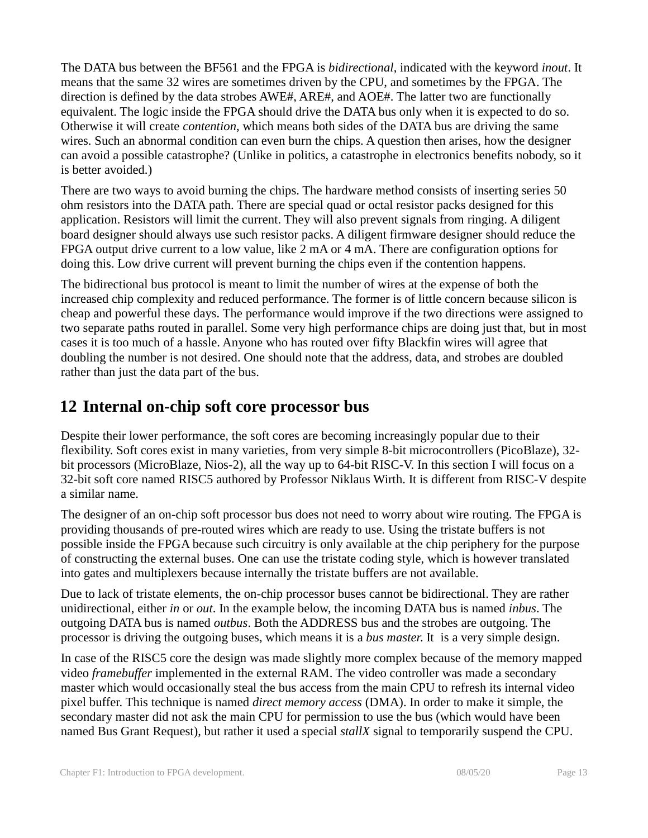The DATA bus between the BF561 and the FPGA is *bidirectional*, indicated with the keyword *inout*. It means that the same 32 wires are sometimes driven by the CPU, and sometimes by the FPGA. The direction is defined by the data strobes AWE#, ARE#, and AOE#. The latter two are functionally equivalent. The logic inside the FPGA should drive the DATA bus only when it is expected to do so. Otherwise it will create *contention*, which means both sides of the DATA bus are driving the same wires. Such an abnormal condition can even burn the chips. A question then arises, how the designer can avoid a possible catastrophe? (Unlike in politics, a catastrophe in electronics benefits nobody, so it is better avoided.)

There are two ways to avoid burning the chips. The hardware method consists of inserting series 50 ohm resistors into the DATA path. There are special quad or octal resistor packs designed for this application. Resistors will limit the current. They will also prevent signals from ringing. A diligent board designer should always use such resistor packs. A diligent firmware designer should reduce the FPGA output drive current to a low value, like 2 mA or 4 mA. There are configuration options for doing this. Low drive current will prevent burning the chips even if the contention happens.

The bidirectional bus protocol is meant to limit the number of wires at the expense of both the increased chip complexity and reduced performance. The former is of little concern because silicon is cheap and powerful these days. The performance would improve if the two directions were assigned to two separate paths routed in parallel. Some very high performance chips are doing just that, but in most cases it is too much of a hassle. Anyone who has routed over fifty Blackfin wires will agree that doubling the number is not desired. One should note that the address, data, and strobes are doubled rather than just the data part of the bus.

## **12 Internal on-chip soft core processor bus**

Despite their lower performance, the soft cores are becoming increasingly popular due to their flexibility. Soft cores exist in many varieties, from very simple 8-bit microcontrollers (PicoBlaze), 32 bit processors (MicroBlaze, Nios-2), all the way up to 64-bit RISC-V. In this section I will focus on a 32-bit soft core named RISC5 authored by Professor Niklaus Wirth. It is different from RISC-V despite a similar name.

The designer of an on-chip soft processor bus does not need to worry about wire routing. The FPGA is providing thousands of pre-routed wires which are ready to use. Using the tristate buffers is not possible inside the FPGA because such circuitry is only available at the chip periphery for the purpose of constructing the external buses. One can use the tristate coding style, which is however translated into gates and multiplexers because internally the tristate buffers are not available.

Due to lack of tristate elements, the on-chip processor buses cannot be bidirectional. They are rather unidirectional, either *in* or *out*. In the example below, the incoming DATA bus is named *inbus*. The outgoing DATA bus is named *outbus*. Both the ADDRESS bus and the strobes are outgoing. The processor is driving the outgoing buses, which means it is a *bus master*. It is a very simple design.

In case of the RISC5 core the design was made slightly more complex because of the memory mapped video *framebuffer* implemented in the external RAM. The video controller was made a secondary master which would occasionally steal the bus access from the main CPU to refresh its internal video pixel buffer. This technique is named *direct memory access* (DMA). In order to make it simple, the secondary master did not ask the main CPU for permission to use the bus (which would have been named Bus Grant Request), but rather it used a special *stallX* signal to temporarily suspend the CPU.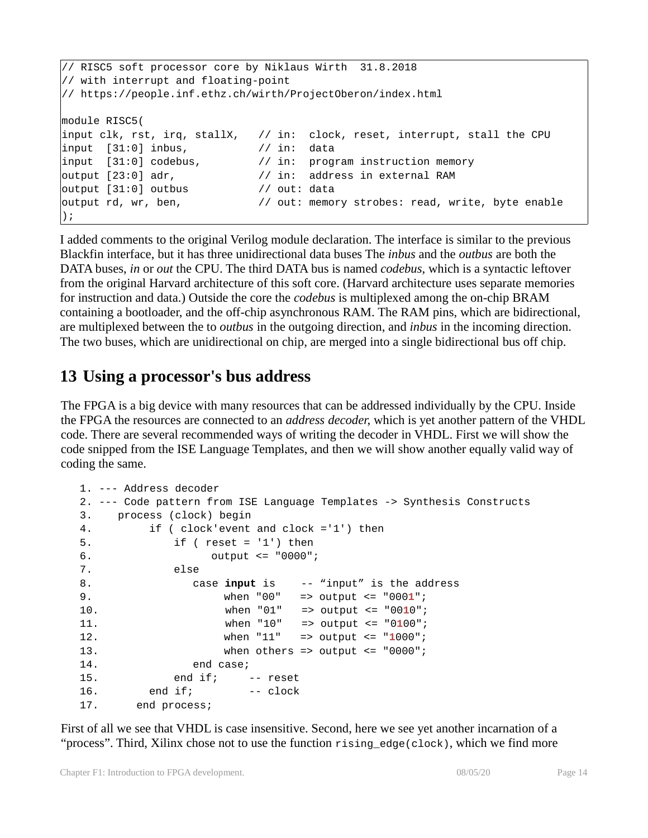```
// RISC5 soft processor core by Niklaus Wirth 31.8.2018 
// with interrupt and floating-point
// https://people.inf.ethz.ch/wirth/ProjectOberon/index.html
module RISC5(
input clk, rst, irq, stallX, // in: clock, reset, interrupt, stall the CPU
input [31:0] inbus, // in: data
input [31:0] codebus, // in: program instruction memory
output [23:0] adr, // in: address in external RAM
output [31:0] outbus // out: data
output rd, wr, ben, \frac{1}{2} out: memory strobes: read, write, byte enable
);
```
I added comments to the original Verilog module declaration. The interface is similar to the previous Blackfin interface, but it has three unidirectional data buses The *inbus* and the *outbus* are both the DATA buses, *in* or *out* the CPU. The third DATA bus is named *codebus*, which is a syntactic leftover from the original Harvard architecture of this soft core. (Harvard architecture uses separate memories for instruction and data.) Outside the core the *codebus* is multiplexed among the on-chip BRAM containing a bootloader, and the off-chip asynchronous RAM. The RAM pins, which are bidirectional, are multiplexed between the to *outbus* in the outgoing direction, and *inbus* in the incoming direction. The two buses, which are unidirectional on chip, are merged into a single bidirectional bus off chip.

### **13 Using a processor's bus address**

The FPGA is a big device with many resources that can be addressed individually by the CPU. Inside the FPGA the resources are connected to an *address decoder*, which is yet another pattern of the VHDL code. There are several recommended ways of writing the decoder in VHDL. First we will show the code snipped from the ISE Language Templates, and then we will show another equally valid way of coding the same.

```
1. --- Address decoder
2. --- Code pattern from ISE Language Templates -> Synthesis Constructs
3. process (clock) begin
4. if ( clock'event and clock ='1') then 
5. if ( reset = '1') then
6. output <= "0000";
7. else
8. case input is -- "input" is the address
9. when "00" => output <= "0001";
10. when "01" => output <= "0010";
11. when "10" => output <= "0100";
12. when "11" => output <= "1000";
13. when others => output <= "0000";
14. end case; 
15. end if; -- reset
16. end if; -- clock
17. end process;
```
First of all we see that VHDL is case insensitive. Second, here we see yet another incarnation of a "process". Third, Xilinx chose not to use the function  $\tau$ ising edge(clock), which we find more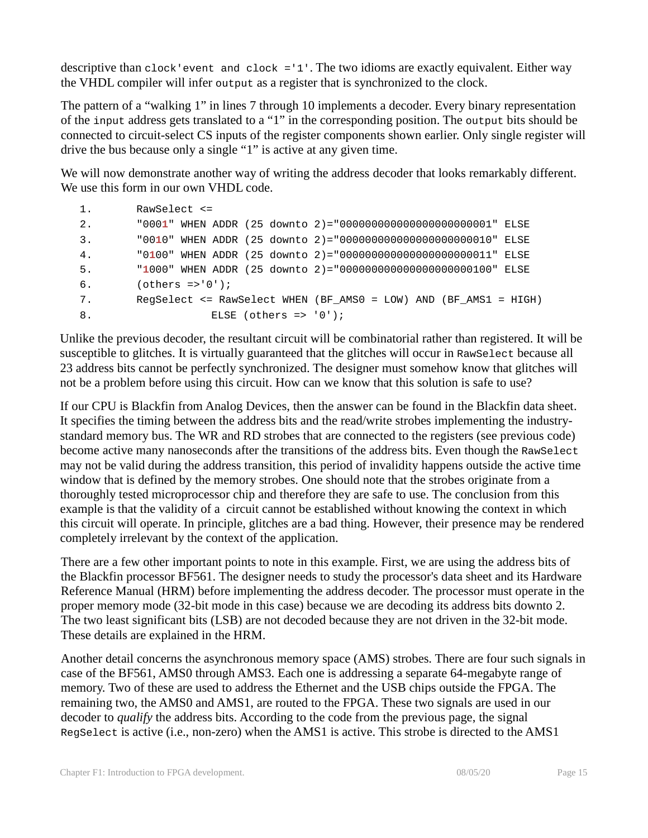descriptive than clock'event and clock ='1'. The two idioms are exactly equivalent. Either way the VHDL compiler will infer output as a register that is synchronized to the clock.

The pattern of a "walking 1" in lines 7 through 10 implements a decoder. Every binary representation of the input address gets translated to a "1" in the corresponding position. The output bits should be connected to circuit-select CS inputs of the register components shown earlier. Only single register will drive the bus because only a single "1" is active at any given time.

We will now demonstrate another way of writing the address decoder that looks remarkably different. We use this form in our own VHDL code.

```
1. RawSelect <=
2. "0001" WHEN ADDR (25 downto 2)="000000000000000000000001" ELSE 
3. "0010" WHEN ADDR (25 downto 2)="000000000000000000000010" ELSE 
4. "0100" WHEN ADDR (25 downto 2)="000000000000000000000011" ELSE 
5. "1000" WHEN ADDR (25 downto 2)="000000000000000000000100" ELSE 
6. (others =>'0');
7. RegSelect <= RawSelect WHEN (BF_AMS0 = LOW) AND (BF_AMS1 = HIGH) 
8. ELSE (others => '0');
```
Unlike the previous decoder, the resultant circuit will be combinatorial rather than registered. It will be susceptible to glitches. It is virtually guaranteed that the glitches will occur in RawSelect because all 23 address bits cannot be perfectly synchronized. The designer must somehow know that glitches will not be a problem before using this circuit. How can we know that this solution is safe to use?

If our CPU is Blackfin from Analog Devices, then the answer can be found in the Blackfin data sheet. It specifies the timing between the address bits and the read/write strobes implementing the industrystandard memory bus. The WR and RD strobes that are connected to the registers (see previous code) become active many nanoseconds after the transitions of the address bits. Even though the RawSelect may not be valid during the address transition, this period of invalidity happens outside the active time window that is defined by the memory strobes. One should note that the strobes originate from a thoroughly tested microprocessor chip and therefore they are safe to use. The conclusion from this example is that the validity of a circuit cannot be established without knowing the context in which this circuit will operate. In principle, glitches are a bad thing. However, their presence may be rendered completely irrelevant by the context of the application.

There are a few other important points to note in this example. First, we are using the address bits of the Blackfin processor BF561. The designer needs to study the processor's data sheet and its Hardware Reference Manual (HRM) before implementing the address decoder. The processor must operate in the proper memory mode (32-bit mode in this case) because we are decoding its address bits downto 2. The two least significant bits (LSB) are not decoded because they are not driven in the 32-bit mode. These details are explained in the HRM.

Another detail concerns the asynchronous memory space (AMS) strobes. There are four such signals in case of the BF561, AMS0 through AMS3. Each one is addressing a separate 64-megabyte range of memory. Two of these are used to address the Ethernet and the USB chips outside the FPGA. The remaining two, the AMS0 and AMS1, are routed to the FPGA. These two signals are used in our decoder to *qualify* the address bits. According to the code from the previous page, the signal RegSelect is active (i.e., non-zero) when the AMS1 is active. This strobe is directed to the AMS1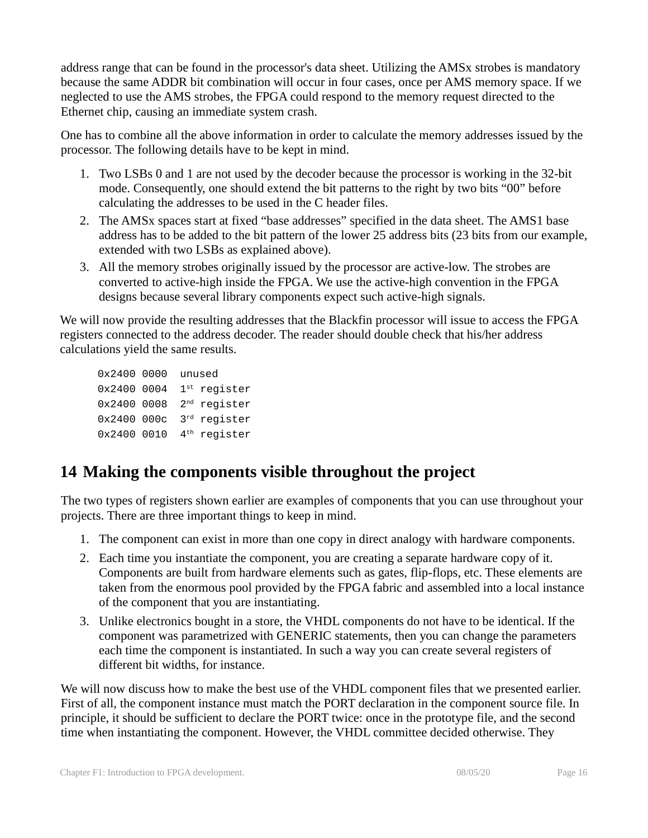address range that can be found in the processor's data sheet. Utilizing the AMSx strobes is mandatory because the same ADDR bit combination will occur in four cases, once per AMS memory space. If we neglected to use the AMS strobes, the FPGA could respond to the memory request directed to the Ethernet chip, causing an immediate system crash.

One has to combine all the above information in order to calculate the memory addresses issued by the processor. The following details have to be kept in mind.

- 1. Two LSBs 0 and 1 are not used by the decoder because the processor is working in the 32-bit mode. Consequently, one should extend the bit patterns to the right by two bits "00" before calculating the addresses to be used in the C header files.
- 2. The AMSx spaces start at fixed "base addresses" specified in the data sheet. The AMS1 base address has to be added to the bit pattern of the lower 25 address bits (23 bits from our example, extended with two LSBs as explained above).
- 3. All the memory strobes originally issued by the processor are active-low. The strobes are converted to active-high inside the FPGA. We use the active-high convention in the FPGA designs because several library components expect such active-high signals.

We will now provide the resulting addresses that the Blackfin processor will issue to access the FPGA registers connected to the address decoder. The reader should double check that his/her address calculations yield the same results.

```
0x2400 0000 unused
0x24000004 1^{st} register
0x2400 0008 2nd register
0x2400 000c 3rd register
0x24000010 4<sup>th</sup> register
```
# **14 Making the components visible throughout the project**

The two types of registers shown earlier are examples of components that you can use throughout your projects. There are three important things to keep in mind.

- 1. The component can exist in more than one copy in direct analogy with hardware components.
- 2. Each time you instantiate the component, you are creating a separate hardware copy of it. Components are built from hardware elements such as gates, flip-flops, etc. These elements are taken from the enormous pool provided by the FPGA fabric and assembled into a local instance of the component that you are instantiating.
- 3. Unlike electronics bought in a store, the VHDL components do not have to be identical. If the component was parametrized with GENERIC statements, then you can change the parameters each time the component is instantiated. In such a way you can create several registers of different bit widths, for instance.

We will now discuss how to make the best use of the VHDL component files that we presented earlier. First of all, the component instance must match the PORT declaration in the component source file. In principle, it should be sufficient to declare the PORT twice: once in the prototype file, and the second time when instantiating the component. However, the VHDL committee decided otherwise. They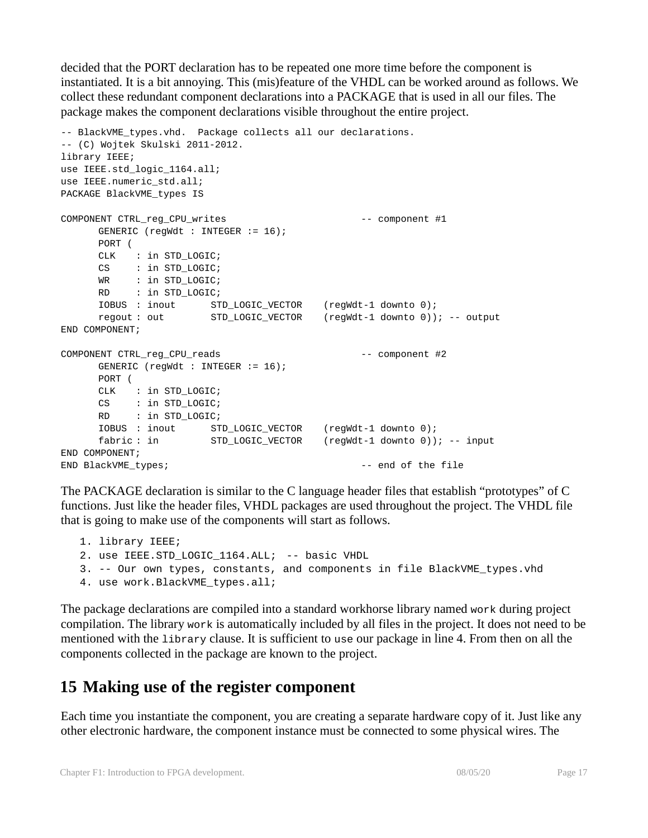decided that the PORT declaration has to be repeated one more time before the component is instantiated. It is a bit annoying. This (mis)feature of the VHDL can be worked around as follows. We collect these redundant component declarations into a PACKAGE that is used in all our files. The package makes the component declarations visible throughout the entire project.

```
-- BlackVME_types.vhd. Package collects all our declarations.
-- (C) Wojtek Skulski 2011-2012.
library IEEE;
use IEEE.std_logic_1164.all;
use IEEE.numeric_std.all;
PACKAGE BlackVME_types IS
COMPONENT CTRL_reg_CPU_writes -- component #1
     GENERIC (regWdt : INTEGER := 16);
     PORT (
     CLK : in STD_LOGIC;
     CS : in STD_LOGIC;
     WR : in STD_LOGIC;
     RD : in STD_LOGIC;
    IOBUS : inout STD_LOGIC_VECTOR (regWdt-1 downto 0);
    regout : out STD_LOGIC_VECTOR (regWdt-1 downto 0)); -- output
END COMPONENT;
COMPONENT CTRL_reg_CPU_reads -- component #2
     GENERIC (regWdt : INTEGER := 16);
     PORT (
     CLK : in STD_LOGIC; 
     CS : in STD_LOGIC;
     RD : in STD_LOGIC;
     IOBUS : inout STD_LOGIC_VECTOR (regWdt-1 downto 0);
     fabric : in STD_LOGIC_VECTOR (regWdt-1 downto 0)); -- input
END COMPONENT;
END BlackVME_types; -- end of the file
```
The PACKAGE declaration is similar to the C language header files that establish "prototypes" of C functions. Just like the header files, VHDL packages are used throughout the project. The VHDL file that is going to make use of the components will start as follows.

```
1. library IEEE;
2. use IEEE.STD_LOGIC_1164.ALL; -- basic VHDL
3. -- Our own types, constants, and components in file BlackVME_types.vhd
4. use work.BlackVME_types.all;
```
The package declarations are compiled into a standard workhorse library named work during project compilation. The library work is automatically included by all files in the project. It does not need to be mentioned with the library clause. It is sufficient to use our package in line 4. From then on all the components collected in the package are known to the project.

#### **15 Making use of the register component**

Each time you instantiate the component, you are creating a separate hardware copy of it. Just like any other electronic hardware, the component instance must be connected to some physical wires. The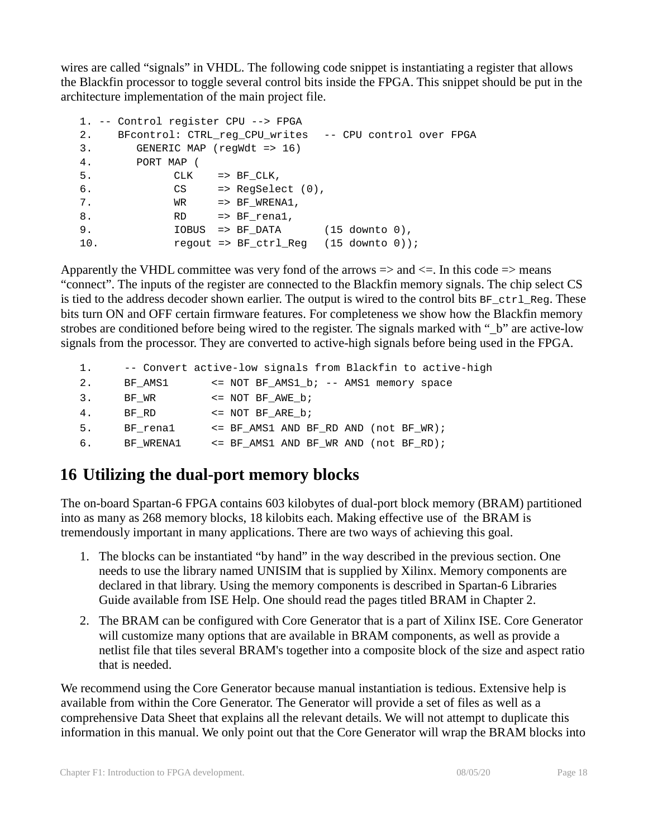wires are called "signals" in VHDL. The following code snippet is instantiating a register that allows the Blackfin processor to toggle several control bits inside the FPGA. This snippet should be put in the architecture implementation of the main project file.

```
1. -- Control register CPU --> FPGA
2. BFcontrol: CTRL_reg CPU writes -- CPU control over FPGA
3. GENERIC MAP (regWdt => 16)
4. PORT MAP (
5. CLK => BF_CLK,
6. CS \Rightarrow RegSelect (0),
7. WR => BF_WRENA1,
8. RD => BF_renal,
9. IOBUS => BF DATA (15 downto 0),
10. regout => BF_ctrl_Reg (15 downto 0));
```
Apparently the VHDL committee was very fond of the arrows  $\Rightarrow$  and  $\leq$ . In this code  $\Rightarrow$  means "connect". The inputs of the register are connected to the Blackfin memory signals. The chip select CS is tied to the address decoder shown earlier. The output is wired to the control bits  $BF_cctrl\_Reg$ . These bits turn ON and OFF certain firmware features. For completeness we show how the Blackfin memory strobes are conditioned before being wired to the register. The signals marked with "\_b" are active-low signals from the processor. They are converted to active-high signals before being used in the FPGA.

```
1. -- Convert active-low signals from Blackfin to active-high
2. BF_AMS1 <= NOT BF_AMS1_b; -- AMS1 memory space
3. BF_WR <= NOT BF_AWE_b;
4. BF_RD <= NOT BF_ARE_b;
5. BF_rena1 <= BF_AMS1 AND BF_RD AND (not BF_WR);
6. BF_WRENA1 <= BF_AMS1 AND BF_WR AND (not BF_RD);
```
# **16 Utilizing the dual-port memory blocks**

The on-board Spartan-6 FPGA contains 603 kilobytes of dual-port block memory (BRAM) partitioned into as many as 268 memory blocks, 18 kilobits each. Making effective use of the BRAM is tremendously important in many applications. There are two ways of achieving this goal.

- 1. The blocks can be instantiated "by hand" in the way described in the previous section. One needs to use the library named UNISIM that is supplied by Xilinx. Memory components are declared in that library. Using the memory components is described in Spartan-6 Libraries Guide available from ISE Help. One should read the pages titled BRAM in Chapter 2.
- 2. The BRAM can be configured with Core Generator that is a part of Xilinx ISE. Core Generator will customize many options that are available in BRAM components, as well as provide a netlist file that tiles several BRAM's together into a composite block of the size and aspect ratio that is needed.

We recommend using the Core Generator because manual instantiation is tedious. Extensive help is available from within the Core Generator. The Generator will provide a set of files as well as a comprehensive Data Sheet that explains all the relevant details. We will not attempt to duplicate this information in this manual. We only point out that the Core Generator will wrap the BRAM blocks into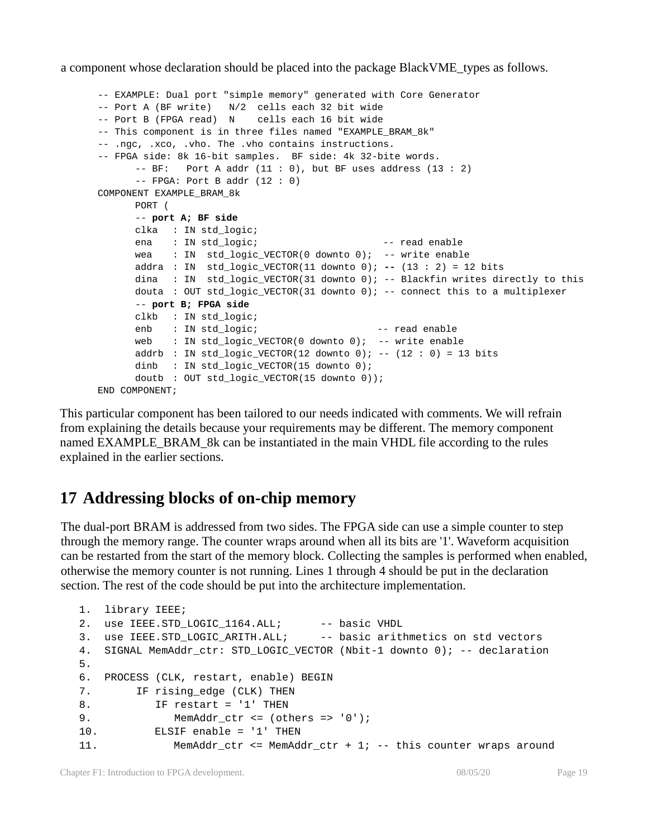a component whose declaration should be placed into the package BlackVME\_types as follows.

```
-- EXAMPLE: Dual port "simple memory" generated with Core Generator
-- Port A (BF write) N/2 cells each 32 bit wide
-- Port B (FPGA read) N cells each 16 bit wide
-- This component is in three files named "EXAMPLE BRAM 8k"
-- .ngc, .xco, .vho. The .vho contains instructions.
-- FPGA side: 8k 16-bit samples. BF side: 4k 32-bite words.
      -- BF: Port A addr (11 : 0), but BF uses address (13 : 2)
      -- FPGA: Port B addr (12 : 0)
COMPONENT EXAMPLE_BRAM_8k
      PORT (
      -- port A; BF side
      clka : IN std_logic;
      ena : IN std_logic; ena -- read enable
      wea : IN std_logic_VECTOR(0 downto 0); -- write enable
      addra : IN std_logic_VECTOR(11 downto 0); -- (13 : 2) = 12 bits
      dina : IN std_logic_VECTOR(31 downto 0); -- Blackfin writes directly to this
      douta : OUT std_logic_VECTOR(31 downto 0); -- connect this to a multiplexer
      -- port B; FPGA side
      clkb : IN std_logic;
      enb : IN std logic; end enable
      web : IN std_logic_VECTOR(0 downto 0); -- write enable
      addrb : IN std_logic_VECTOR(12 downto 0); -- (12 : 0) = 13 bits
      dinb : IN std_logic_VECTOR(15 downto 0);
      doutb : OUT std_logic_VECTOR(15 downto 0));
END COMPONENT;
```
This particular component has been tailored to our needs indicated with comments. We will refrain from explaining the details because your requirements may be different. The memory component named EXAMPLE\_BRAM\_8k can be instantiated in the main VHDL file according to the rules explained in the earlier sections.

## **17 Addressing blocks of on-chip memory**

The dual-port BRAM is addressed from two sides. The FPGA side can use a simple counter to step through the memory range. The counter wraps around when all its bits are '1'. Waveform acquisition can be restarted from the start of the memory block. Collecting the samples is performed when enabled, otherwise the memory counter is not running. Lines 1 through 4 should be put in the declaration section. The rest of the code should be put into the architecture implementation.

```
1. library IEEE;
2. use IEEE.STD_LOGIC_1164.ALL; -- basic VHDL
3. use IEEE.STD LOGIC ARITH.ALL; -- basic arithmetics on std vectors
4. SIGNAL MemAddr ctr: STD LOGIC VECTOR (Nbit-1 downto 0); -- declaration
5.
6. PROCESS (CLK, restart, enable) BEGIN
7. IF rising_edge (CLK) THEN
8. IF restart = '1' THEN
9. MemAddr ctr <= (others => '0');
10. ELSIF enable = '1' THEN
11. MemAddr_ctr <= MemAddr_ctr + 1; -- this counter wraps around
```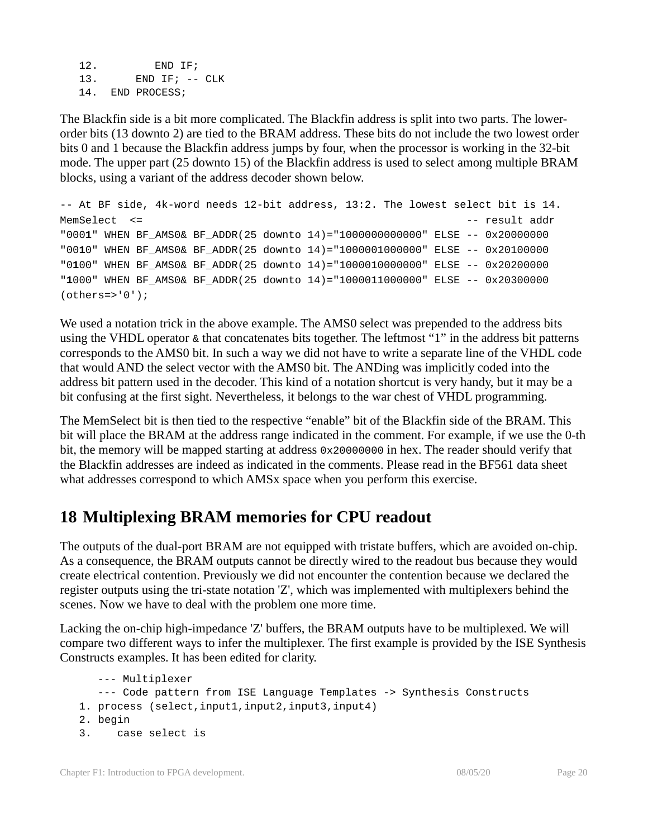12. END IF; 13. END IF; -- CLK 14. END PROCESS;

The Blackfin side is a bit more complicated. The Blackfin address is split into two parts. The lowerorder bits (13 downto 2) are tied to the BRAM address. These bits do not include the two lowest order bits 0 and 1 because the Blackfin address jumps by four, when the processor is working in the 32-bit mode. The upper part (25 downto 15) of the Blackfin address is used to select among multiple BRAM blocks, using a variant of the address decoder shown below.

```
-- At BF side, 4k-word needs 12-bit address, 13:2. The lowest select bit is 14.
MemSelect <= \qquad"0001" WHEN BF_AMS0& BF_ADDR(25 downto 14)="1000000000000" ELSE -- 0x20000000
"0010" WHEN BF_AMS0& BF_ADDR(25 downto 14)="1000001000000" ELSE -- 0x20100000
"0100" WHEN BF_AMS0& BF_ADDR(25 downto 14)="1000010000000" ELSE -- 0x20200000
"1000" WHEN BF_AMS0& BF_ADDR(25 downto 14)="1000011000000" ELSE -- 0x20300000
(others='0');
```
We used a notation trick in the above example. The AMS0 select was prepended to the address bits using the VHDL operator & that concatenates bits together. The leftmost "1" in the address bit patterns corresponds to the AMS0 bit. In such a way we did not have to write a separate line of the VHDL code that would AND the select vector with the AMS0 bit. The ANDing was implicitly coded into the address bit pattern used in the decoder. This kind of a notation shortcut is very handy, but it may be a bit confusing at the first sight. Nevertheless, it belongs to the war chest of VHDL programming.

The MemSelect bit is then tied to the respective "enable" bit of the Blackfin side of the BRAM. This bit will place the BRAM at the address range indicated in the comment. For example, if we use the 0-th bit, the memory will be mapped starting at address 0x20000000 in hex. The reader should verify that the Blackfin addresses are indeed as indicated in the comments. Please read in the BF561 data sheet what addresses correspond to which AMSx space when you perform this exercise.

## **18 Multiplexing BRAM memories for CPU readout**

The outputs of the dual-port BRAM are not equipped with tristate buffers, which are avoided on-chip. As a consequence, the BRAM outputs cannot be directly wired to the readout bus because they would create electrical contention. Previously we did not encounter the contention because we declared the register outputs using the tri-state notation 'Z', which was implemented with multiplexers behind the scenes. Now we have to deal with the problem one more time.

Lacking the on-chip high-impedance 'Z' buffers, the BRAM outputs have to be multiplexed. We will compare two different ways to infer the multiplexer. The first example is provided by the ISE Synthesis Constructs examples. It has been edited for clarity.

```
--- Multiplexer
  --- Code pattern from ISE Language Templates -> Synthesis Constructs
1. process (select,input1,input2,input3,input4)
2. begin
3. case select is
```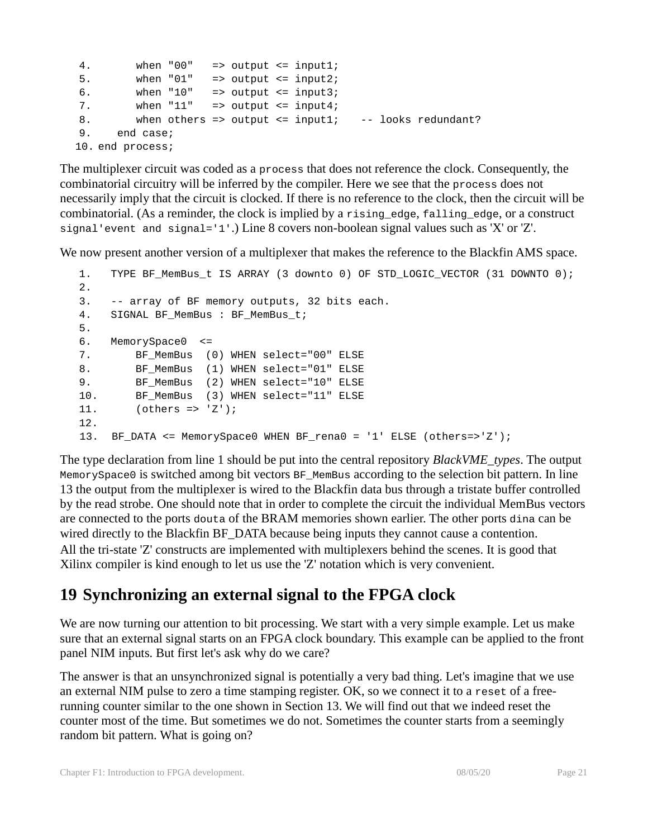```
4. when "00" => output <= input1;
5. when "01" => output \le input2;
6. when "10" => output <= input3;
7. when "11" => output \le input4;
8. when others => output <= input1; -- looks redundant?
9. end case;
10. end process;
```
The multiplexer circuit was coded as a process that does not reference the clock. Consequently, the combinatorial circuitry will be inferred by the compiler. Here we see that the process does not necessarily imply that the circuit is clocked. If there is no reference to the clock, then the circuit will be combinatorial. (As a reminder, the clock is implied by a rising\_edge, falling\_edge, or a construct signal'event and  $sigma = '1'.$ ) Line 8 covers non-boolean signal values such as 'X' or 'Z'.

We now present another version of a multiplexer that makes the reference to the Blackfin AMS space.

```
1. TYPE BF_MemBus_t IS ARRAY (3 downto 0) OF STD_LOGIC_VECTOR (31 DOWNTO 0);
2.
3. -- array of BF memory outputs, 32 bits each.
4. SIGNAL BF_MemBus : BF_MemBus_t;
5.
6. MemorySpace0 <= 
7. BF MemBus (0) WHEN select="00" ELSE
8. BF MemBus (1) WHEN select="01" ELSE
9. BF MemBus (2) WHEN select="10" ELSE
10. BF MemBus (3) WHEN select="11" ELSE
11. (others => 'Z');
12.
13. BF_DATA <= MemorySpace0 WHEN BF_rena0 = '1' ELSE (others=>'Z');
```
The type declaration from line 1 should be put into the central repository *BlackVME\_types*. The output MemorySpace0 is switched among bit vectors BF\_MemBus according to the selection bit pattern. In line 13 the output from the multiplexer is wired to the Blackfin data bus through a tristate buffer controlled by the read strobe. One should note that in order to complete the circuit the individual MemBus vectors are connected to the ports douta of the BRAM memories shown earlier. The other ports dina can be wired directly to the Blackfin BF\_DATA because being inputs they cannot cause a contention. All the tri-state 'Z' constructs are implemented with multiplexers behind the scenes. It is good that Xilinx compiler is kind enough to let us use the 'Z' notation which is very convenient.

## **19 Synchronizing an external signal to the FPGA clock**

We are now turning our attention to bit processing. We start with a very simple example. Let us make sure that an external signal starts on an FPGA clock boundary. This example can be applied to the front panel NIM inputs. But first let's ask why do we care?

The answer is that an unsynchronized signal is potentially a very bad thing. Let's imagine that we use an external NIM pulse to zero a time stamping register. OK, so we connect it to a reset of a freerunning counter similar to the one shown in Section 13. We will find out that we indeed reset the counter most of the time. But sometimes we do not. Sometimes the counter starts from a seemingly random bit pattern. What is going on?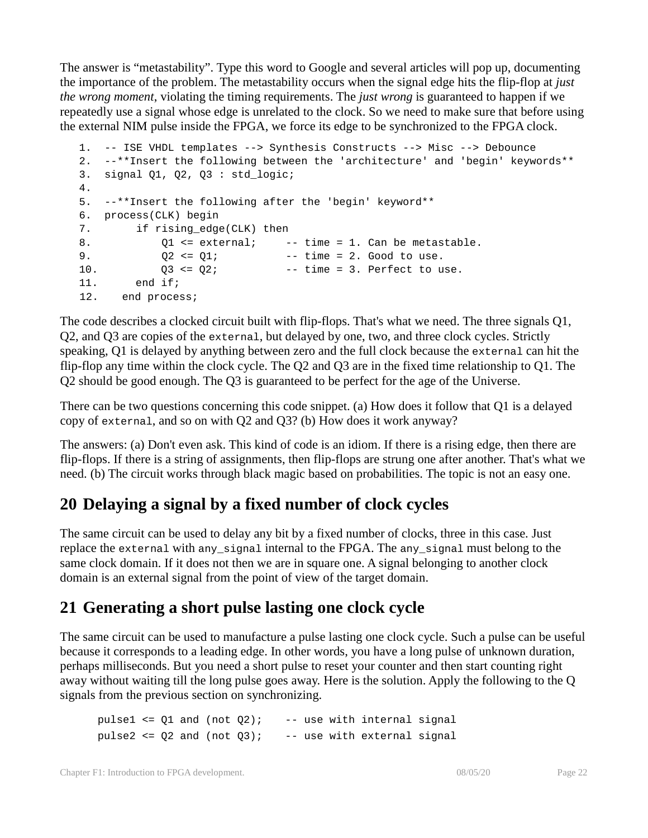The answer is "metastability". Type this word to Google and several articles will pop up, documenting the importance of the problem. The metastability occurs when the signal edge hits the flip-flop at *just the wrong moment*, violating the timing requirements. The *just wrong* is guaranteed to happen if we repeatedly use a signal whose edge is unrelated to the clock. So we need to make sure that before using the external NIM pulse inside the FPGA, we force its edge to be synchronized to the FPGA clock.

```
1. -- ISE VHDL templates --> Synthesis Constructs --> Misc --> Debounce
2. --**Insert the following between the 'architecture' and 'begin' keywords**
3. signal Q1, Q2, Q3 : std_logic;
4.
5. --**Insert the following after the 'begin' keyword**
6. process(CLK) begin
7. if rising_edge(CLK) then
8. O1 <= external; -- time = 1. Can be metastable.
9. Q2 \le Q1; \qquad -\text{time} = 2. Good to use.
10. Q3 \le Q2; Q2 - 1 Q3 \le Q2; Q4 Q5 Q7 Q811. end if;
12. end process;
```
The code describes a clocked circuit built with flip-flops. That's what we need. The three signals Q1, Q2, and Q3 are copies of the external, but delayed by one, two, and three clock cycles. Strictly speaking, Q1 is delayed by anything between zero and the full clock because the external can hit the flip-flop any time within the clock cycle. The Q2 and Q3 are in the fixed time relationship to Q1. The Q2 should be good enough. The Q3 is guaranteed to be perfect for the age of the Universe.

There can be two questions concerning this code snippet. (a) How does it follow that Q1 is a delayed copy of external, and so on with Q2 and Q3? (b) How does it work anyway?

The answers: (a) Don't even ask. This kind of code is an idiom. If there is a rising edge, then there are flip-flops. If there is a string of assignments, then flip-flops are strung one after another. That's what we need. (b) The circuit works through black magic based on probabilities. The topic is not an easy one.

## **20 Delaying a signal by a fixed number of clock cycles**

The same circuit can be used to delay any bit by a fixed number of clocks, three in this case. Just replace the external with any\_signal internal to the FPGA. The any\_signal must belong to the same clock domain. If it does not then we are in square one. A signal belonging to another clock domain is an external signal from the point of view of the target domain.

## **21 Generating a short pulse lasting one clock cycle**

The same circuit can be used to manufacture a pulse lasting one clock cycle. Such a pulse can be useful because it corresponds to a leading edge. In other words, you have a long pulse of unknown duration, perhaps milliseconds. But you need a short pulse to reset your counter and then start counting right away without waiting till the long pulse goes away. Here is the solution. Apply the following to the Q signals from the previous section on synchronizing.

pulse1  $\leq$  21 and (not Q2); -- use with internal signal pulse2  $\leq$  02 and (not 03); -- use with external signal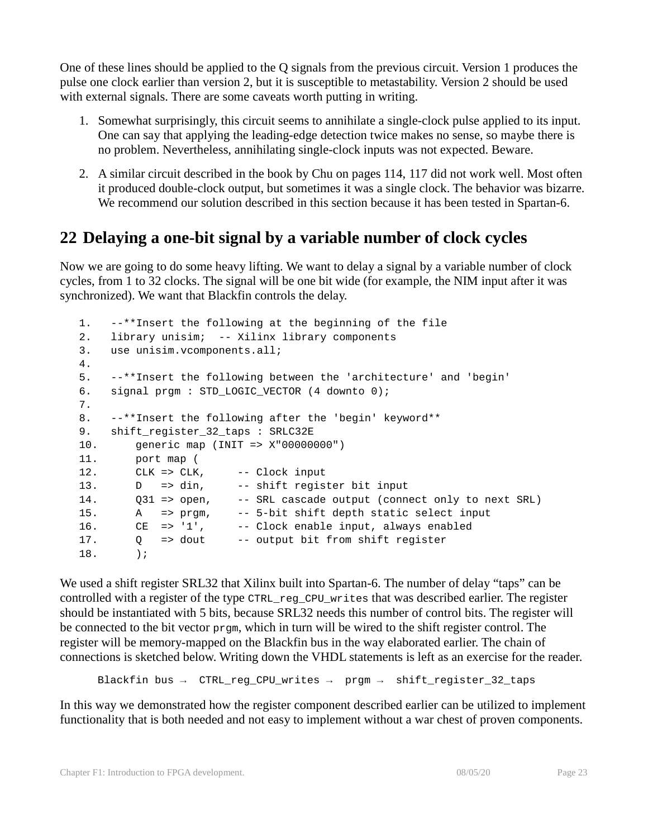One of these lines should be applied to the Q signals from the previous circuit. Version 1 produces the pulse one clock earlier than version 2, but it is susceptible to metastability. Version 2 should be used with external signals. There are some caveats worth putting in writing.

- 1. Somewhat surprisingly, this circuit seems to annihilate a single-clock pulse applied to its input. One can say that applying the leading-edge detection twice makes no sense, so maybe there is no problem. Nevertheless, annihilating single-clock inputs was not expected. Beware.
- 2. A similar circuit described in the book by Chu on pages 114, 117 did not work well. Most often it produced double-clock output, but sometimes it was a single clock. The behavior was bizarre. We recommend our solution described in this section because it has been tested in Spartan-6.

### **22 Delaying a one-bit signal by a variable number of clock cycles**

Now we are going to do some heavy lifting. We want to delay a signal by a variable number of clock cycles, from 1 to 32 clocks. The signal will be one bit wide (for example, the NIM input after it was synchronized). We want that Blackfin controls the delay.

```
1. --**Insert the following at the beginning of the file
2. library unisim; -- Xilinx library components 
3. use unisim.vcomponents.all;
4.
5. --**Insert the following between the 'architecture' and 'begin'
6. signal prgm : STD LOGIC VECTOR (4 downto 0);
7.
8. --**Insert the following after the 'begin' keyword**
9. shift register 32 taps : SRLC32E
10. generic map (INIT => X"00000000")
11. port map (
12. CLK => CLK, -- Clock input
13. D => din, -- shift register bit input
14. Q31 => open, -- SRL cascade output (connect only to next SRL)
15. A => prgm, -- 5-bit shift depth static select input
16. CE => '1', -- Clock enable input, always enabled
17. Q => dout -- output bit from shift register
18. );
```
We used a shift register SRL32 that Xilinx built into Spartan-6. The number of delay "taps" can be controlled with a register of the type CTRL\_reg\_CPU\_writes that was described earlier. The register should be instantiated with 5 bits, because SRL32 needs this number of control bits. The register will be connected to the bit vector prgm, which in turn will be wired to the shift register control. The register will be memory-mapped on the Blackfin bus in the way elaborated earlier. The chain of connections is sketched below. Writing down the VHDL statements is left as an exercise for the reader.

Blackfin bus → CTRL\_reg\_CPU\_writes → prgm → shift\_register\_32\_taps

In this way we demonstrated how the register component described earlier can be utilized to implement functionality that is both needed and not easy to implement without a war chest of proven components.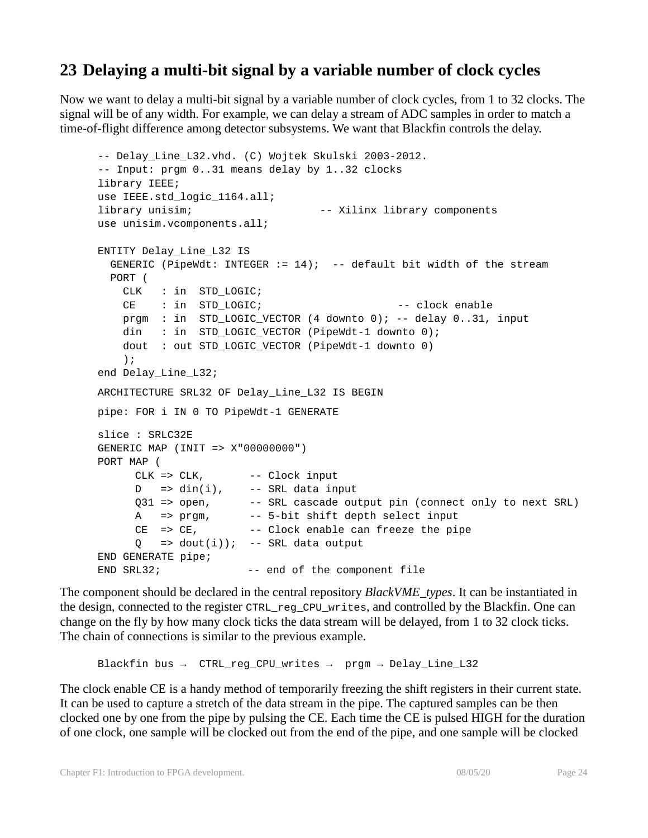### **23 Delaying a multi-bit signal by a variable number of clock cycles**

Now we want to delay a multi-bit signal by a variable number of clock cycles, from 1 to 32 clocks. The signal will be of any width. For example, we can delay a stream of ADC samples in order to match a time-of-flight difference among detector subsystems. We want that Blackfin controls the delay.

```
-- Delay Line L32.vhd. (C) Wojtek Skulski 2003-2012.
-- Input: prgm 0..31 means delay by 1..32 clocks
library IEEE;
use IEEE.std_logic_1164.all;
library unisim; -- Xilinx library components 
use unisim.vcomponents.all;
ENTITY Delay_Line_L32 IS
 GENERIC (PipeWdt: INTEGER := 14); -- default bit width of the stream
  PORT (
    CLK : in STD_LOGIC;
   CE : in STD LOGIC; - clock enable
    prgm : in STD_LOGIC_VECTOR (4 downto 0); -- delay 0..31, input
    din : in STD_LOGIC_VECTOR (PipeWdt-1 downto 0);
    dout : out STD_LOGIC_VECTOR (PipeWdt-1 downto 0)
    );
end Delay_Line_L32;
ARCHITECTURE SRL32 OF Delay_Line_L32 IS BEGIN
pipe: FOR i IN 0 TO PipeWdt-1 GENERATE
slice : SRLC32E
GENERIC MAP (INIT => X"00000000")
PORT MAP (
     CLK => CLK, -- Clock input
     D => din(i), -- SRL data input
     Q31 => open, -- SRL cascade output pin (connect only to next SRL)
     A => prgm, -- 5-bit shift depth select input
     CE => CE, -- Clock enable can freeze the pipe
     Q => dout(i)); -- SRL data output
END GENERATE pipe;
END SRL32; -- end of the component file
```
The component should be declared in the central repository *BlackVME\_types*. It can be instantiated in the design, connected to the register CTRL\_reg\_CPU\_writes, and controlled by the Blackfin. One can change on the fly by how many clock ticks the data stream will be delayed, from 1 to 32 clock ticks. The chain of connections is similar to the previous example.

Blackfin bus → CTRL\_reg\_CPU\_writes → prgm → Delay\_Line\_L32

The clock enable CE is a handy method of temporarily freezing the shift registers in their current state. It can be used to capture a stretch of the data stream in the pipe. The captured samples can be then clocked one by one from the pipe by pulsing the CE. Each time the CE is pulsed HIGH for the duration of one clock, one sample will be clocked out from the end of the pipe, and one sample will be clocked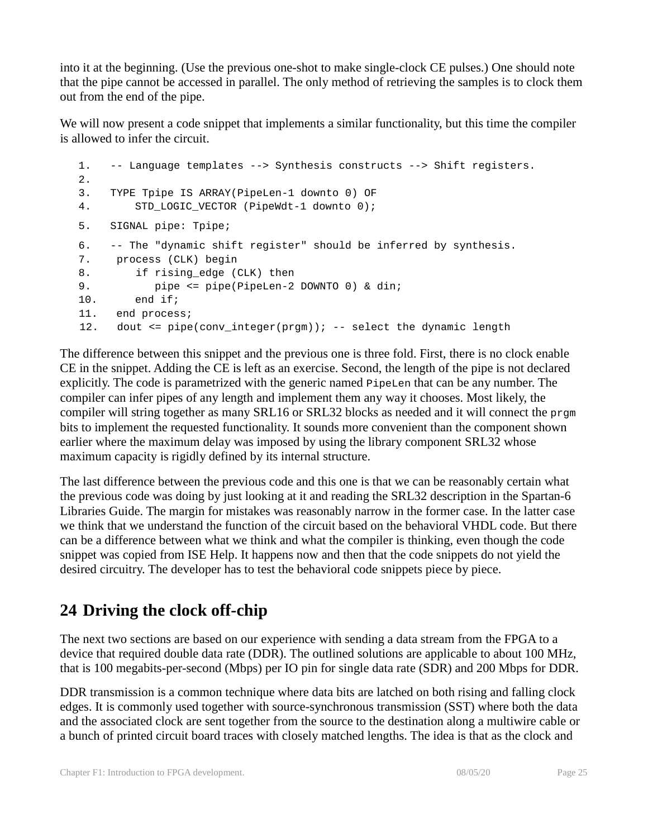into it at the beginning. (Use the previous one-shot to make single-clock CE pulses.) One should note that the pipe cannot be accessed in parallel. The only method of retrieving the samples is to clock them out from the end of the pipe.

We will now present a code snippet that implements a similar functionality, but this time the compiler is allowed to infer the circuit.

```
1. -- Language templates --> Synthesis constructs --> Shift registers.
2.
3. TYPE Tpipe IS ARRAY(PipeLen-1 downto 0) OF 
4. STD LOGIC VECTOR (PipeWdt-1 downto 0);
5. SIGNAL pipe: Tpipe;
6. -- The "dynamic shift register" should be inferred by synthesis.
7. process (CLK) begin 
8. if rising_edge (CLK) then
9. pipe <= pipe(PipeLen-2 DOWNTO 0) & din;
10. end if; 
11. end process;
12. dout <= pipe(conv_integer(prgm)); -- select the dynamic length
```
The difference between this snippet and the previous one is three fold. First, there is no clock enable CE in the snippet. Adding the CE is left as an exercise. Second, the length of the pipe is not declared explicitly. The code is parametrized with the generic named PipeLen that can be any number. The compiler can infer pipes of any length and implement them any way it chooses. Most likely, the compiler will string together as many SRL16 or SRL32 blocks as needed and it will connect the  $p_{\text{r}}$ bits to implement the requested functionality. It sounds more convenient than the component shown earlier where the maximum delay was imposed by using the library component SRL32 whose maximum capacity is rigidly defined by its internal structure.

The last difference between the previous code and this one is that we can be reasonably certain what the previous code was doing by just looking at it and reading the SRL32 description in the Spartan-6 Libraries Guide. The margin for mistakes was reasonably narrow in the former case. In the latter case we think that we understand the function of the circuit based on the behavioral VHDL code. But there can be a difference between what we think and what the compiler is thinking, even though the code snippet was copied from ISE Help. It happens now and then that the code snippets do not yield the desired circuitry. The developer has to test the behavioral code snippets piece by piece.

# **24 Driving the clock off-chip**

The next two sections are based on our experience with sending a data stream from the FPGA to a device that required double data rate (DDR). The outlined solutions are applicable to about 100 MHz, that is 100 megabits-per-second (Mbps) per IO pin for single data rate (SDR) and 200 Mbps for DDR.

DDR transmission is a common technique where data bits are latched on both rising and falling clock edges. It is commonly used together with source-synchronous transmission (SST) where both the data and the associated clock are sent together from the source to the destination along a multiwire cable or a bunch of printed circuit board traces with closely matched lengths. The idea is that as the clock and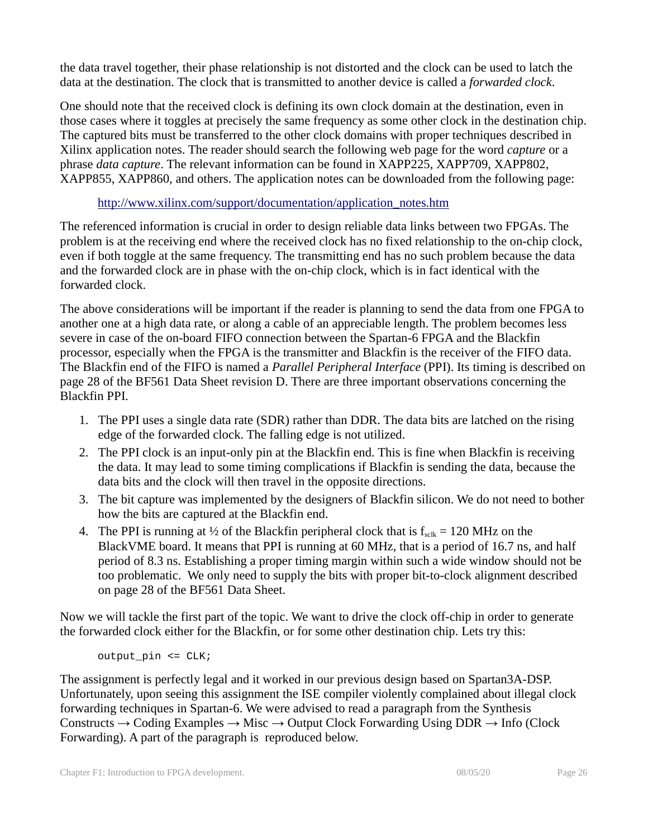the data travel together, their phase relationship is not distorted and the clock can be used to latch the data at the destination. The clock that is transmitted to another device is called a *forwarded clock*.

One should note that the received clock is defining its own clock domain at the destination, even in those cases where it toggles at precisely the same frequency as some other clock in the destination chip. The captured bits must be transferred to the other clock domains with proper techniques described in Xilinx application notes. The reader should search the following web page for the word *capture* or a phrase *data capture*. The relevant information can be found in XAPP225, XAPP709, XAPP802, XAPP855, XAPP860, and others. The application notes can be downloaded from the following page:

#### http://www.xilinx.com/support/documentation/application\_notes.htm

The referenced information is crucial in order to design reliable data links between two FPGAs. The problem is at the receiving end where the received clock has no fixed relationship to the on-chip clock, even if both toggle at the same frequency. The transmitting end has no such problem because the data and the forwarded clock are in phase with the on-chip clock, which is in fact identical with the forwarded clock.

The above considerations will be important if the reader is planning to send the data from one FPGA to another one at a high data rate, or along a cable of an appreciable length. The problem becomes less severe in case of the on-board FIFO connection between the Spartan-6 FPGA and the Blackfin processor, especially when the FPGA is the transmitter and Blackfin is the receiver of the FIFO data. The Blackfin end of the FIFO is named a *Parallel Peripheral Interface* (PPI). Its timing is described on page 28 of the BF561 Data Sheet revision D. There are three important observations concerning the Blackfin PPI.

- 1. The PPI uses a single data rate (SDR) rather than DDR. The data bits are latched on the rising edge of the forwarded clock. The falling edge is not utilized.
- 2. The PPI clock is an input-only pin at the Blackfin end. This is fine when Blackfin is receiving the data. It may lead to some timing complications if Blackfin is sending the data, because the data bits and the clock will then travel in the opposite directions.
- 3. The bit capture was implemented by the designers of Blackfin silicon. We do not need to bother how the bits are captured at the Blackfin end.
- 4. The PPI is running at  $\frac{1}{2}$  of the Blackfin peripheral clock that is  $f_{s} = 120 \text{ MHz}$  on the BlackVME board. It means that PPI is running at 60 MHz, that is a period of 16.7 ns, and half period of 8.3 ns. Establishing a proper timing margin within such a wide window should not be too problematic. We only need to supply the bits with proper bit-to-clock alignment described on page 28 of the BF561 Data Sheet.

Now we will tackle the first part of the topic. We want to drive the clock off-chip in order to generate the forwarded clock either for the Blackfin, or for some other destination chip. Lets try this:

output\_pin <= CLK;

The assignment is perfectly legal and it worked in our previous design based on Spartan3A-DSP. Unfortunately, upon seeing this assignment the ISE compiler violently complained about illegal clock forwarding techniques in Spartan-6. We were advised to read a paragraph from the Synthesis Constructs  $\rightarrow$  Coding Examples  $\rightarrow$  Misc  $\rightarrow$  Output Clock Forwarding Using DDR  $\rightarrow$  Info (Clock Forwarding). A part of the paragraph is reproduced below.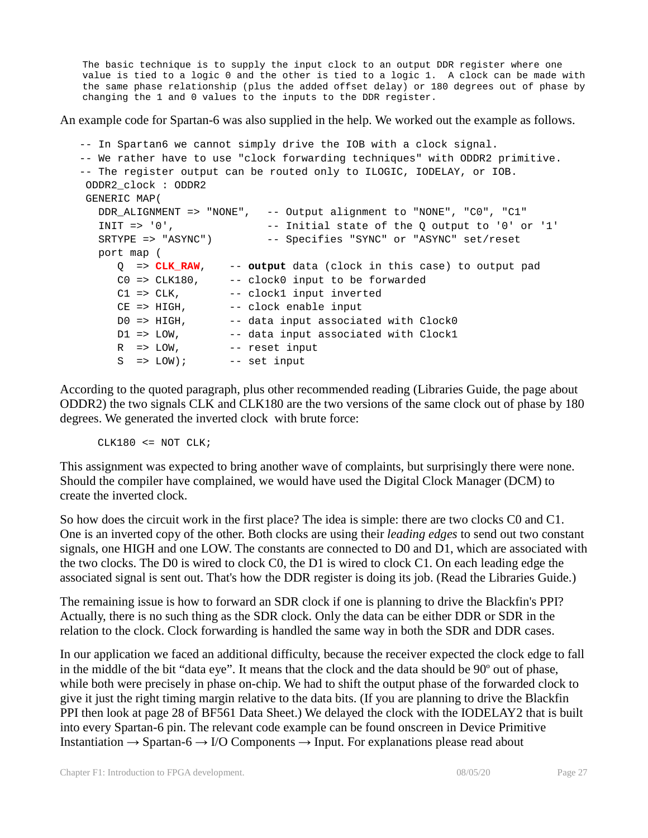The basic technique is to supply the input clock to an output DDR register where one value is tied to a logic 0 and the other is tied to a logic 1. A clock can be made with the same phase relationship (plus the added offset delay) or 180 degrees out of phase by changing the 1 and 0 values to the inputs to the DDR register.

An example code for Spartan-6 was also supplied in the help. We worked out the example as follows.

```
-- In Spartan6 we cannot simply drive the IOB with a clock signal.
-- We rather have to use "clock forwarding techniques" with ODDR2 primitive.
-- The register output can be routed only to ILOGIC, IODELAY, or IOB.
  ODDR2_clock : ODDR2
  GENERIC MAP(
    DDR_ALIGNMENT => "NONE", -- Output alignment to "NONE", "C0", "C1" 
   INIT = > '0', - Initial state of the Q output to '0' or '1'
   SRTYPE => "ASYNC") -- Specifies "SYNC" or "ASYNC" set/reset
    port map (
       Q => CLK_RAW, -- output data (clock in this case) to output pad
       C0 => CLK180, -- clock0 input to be forwarded
      C1 => CLK, -- clock1 input inverted<br>CE => HIGH, -- clock enable input
                       -- clock enable input
      D0 => HIGH, -- data input associated with Clock0<br>D1 => LOW, -- data input associated with Clock1
                       -- data input associated with Clock1
      R => LOW, - reset input
      S => LOW); -- set input
```
According to the quoted paragraph, plus other recommended reading (Libraries Guide, the page about ODDR2) the two signals CLK and CLK180 are the two versions of the same clock out of phase by 180 degrees. We generated the inverted clock with brute force:

 $CLK180 \leq NOTCLK$ ;

This assignment was expected to bring another wave of complaints, but surprisingly there were none. Should the compiler have complained, we would have used the Digital Clock Manager (DCM) to create the inverted clock.

So how does the circuit work in the first place? The idea is simple: there are two clocks C0 and C1. One is an inverted copy of the other. Both clocks are using their *leading edges* to send out two constant signals, one HIGH and one LOW. The constants are connected to D0 and D1, which are associated with the two clocks. The D0 is wired to clock C0, the D1 is wired to clock C1. On each leading edge the associated signal is sent out. That's how the DDR register is doing its job. (Read the Libraries Guide.)

The remaining issue is how to forward an SDR clock if one is planning to drive the Blackfin's PPI? Actually, there is no such thing as the SDR clock. Only the data can be either DDR or SDR in the relation to the clock. Clock forwarding is handled the same way in both the SDR and DDR cases.

In our application we faced an additional difficulty, because the receiver expected the clock edge to fall in the middle of the bit "data eye". It means that the clock and the data should be 90° out of phase, while both were precisely in phase on-chip. We had to shift the output phase of the forwarded clock to give it just the right timing margin relative to the data bits. (If you are planning to drive the Blackfin PPI then look at page 28 of BF561 Data Sheet.) We delayed the clock with the IODELAY2 that is built into every Spartan-6 pin. The relevant code example can be found onscreen in Device Primitive Instantiation  $\rightarrow$  Spartan-6  $\rightarrow$  I/O Components  $\rightarrow$  Input. For explanations please read about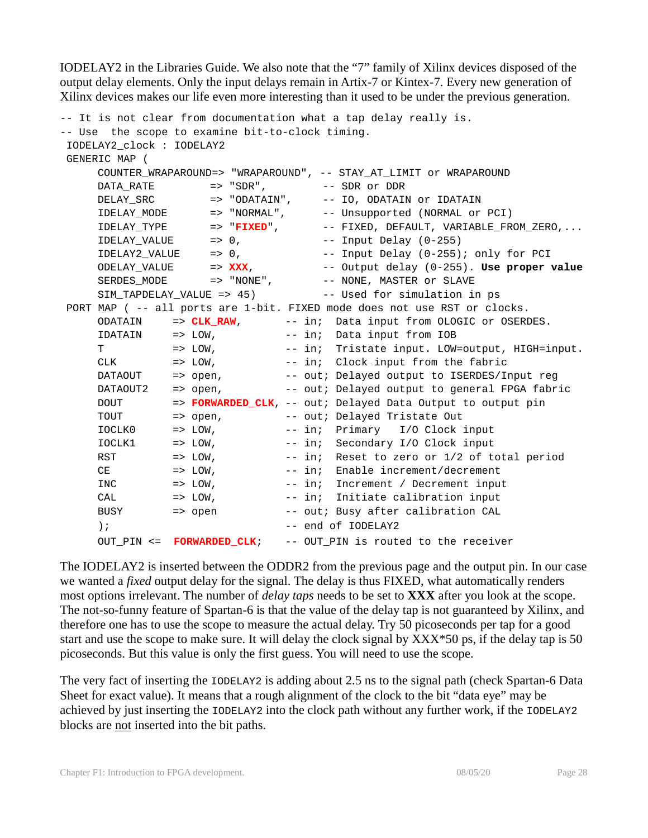IODELAY2 in the Libraries Guide. We also note that the "7" family of Xilinx devices disposed of the output delay elements. Only the input delays remain in Artix-7 or Kintex-7. Every new generation of Xilinx devices makes our life even more interesting than it used to be under the previous generation.

```
-- It is not clear from documentation what a tap delay really is.
-- Use the scope to examine bit-to-clock timing.
 IODELAY2_clock : IODELAY2
 GENERIC MAP (
     COUNTER_WRAPAROUND=> "WRAPAROUND", -- STAY_AT_LIMIT or WRAPAROUND
     DATA_RATE => "SDR", -- SDR or DDR
     DELAY_SRC => "ODATAIN", -- IO, ODATAIN or IDATAIN
     IDELAY_MODE => "NORMAL", -- Unsupported (NORMAL or PCI)
     IDELAY_TYPE => "FIXED", -- FIXED, DEFAULT, VARIABLE_FROM_ZERO,...
     IDELAY_VALUE => 0, --- Input Delay (0-255)
     IDELAY2_VALUE => 0, -- Input Delay (0-255); only for PCI
     ODELAY_VALUE => XXX, -- Output delay (0-255). Use proper value
     SERDES_MODE => "NONE", -- NONE, MASTER or SLAVE
     SIM_TAPDELAY_VALUE => 45) -- Used for simulation in ps
 PORT MAP ( -- all ports are 1-bit. FIXED mode does not use RST or clocks.
     ODATAIN => CLK_RAW, -- in; Data input from OLOGIC or OSERDES.
     IDATAIN => LOW, -- in; Data input from IOB
     T = > LOW, - - in; Tristate input. LOW=output, HIGH=input.
     CLK => LOW, -- in; Clock input from the fabric
     DATAOUT => open, -- out; Delayed output to ISERDES/Input reg
     DATAOUT2 => open, -- out; Delayed output to general FPGA fabric
     DOUT => FORWARDED_CLK, -- out; Delayed Data Output to output pin
     TOUT => open, -- out; Delayed Tristate Out<br>IOCLK0 => LOW, -- in; Primary I/O Clock :
               => LOW, -- in; Primary I/O Clock input
     IOCLK1 => LOW, -- in; Secondary I/O Clock input
     RST \qquad \qquad \Rightarrow \text{ LOW,} \qquad \qquad \text{-- in:} \quad \text{Reset to zero or } 1/2 \text{ of total period}CE \qquad \qquad \Rightarrow \text{ LOW,} \qquad \qquad \text{-- in:} \quad \text{Enable increment/decrement}INC \qquad \qquad \Rightarrow \text{LOW}, \qquad \qquad \text{-- in:} \qquad \text{Increment} \neq \text{December in}CAL => LOW, -- in; Initiate calibration input
     BUSY -- LON,<br>BUSY -- open -- out; Busy after calibration CAL
     ); -- end of IODELAY2
     OUT PIN <= FORWARDED CLK; -- OUT PIN is routed to the receiver
```
The IODELAY2 is inserted between the ODDR2 from the previous page and the output pin. In our case we wanted a *fixed* output delay for the signal. The delay is thus FIXED, what automatically renders most options irrelevant. The number of *delay taps* needs to be set to **XXX** after you look at the scope. The not-so-funny feature of Spartan-6 is that the value of the delay tap is not guaranteed by Xilinx, and therefore one has to use the scope to measure the actual delay. Try 50 picoseconds per tap for a good start and use the scope to make sure. It will delay the clock signal by XXX\*50 ps, if the delay tap is 50 picoseconds. But this value is only the first guess. You will need to use the scope.

The very fact of inserting the IODELAY2 is adding about 2.5 ns to the signal path (check Spartan-6 Data Sheet for exact value). It means that a rough alignment of the clock to the bit "data eye" may be achieved by just inserting the IODELAY2 into the clock path without any further work, if the IODELAY2 blocks are not inserted into the bit paths.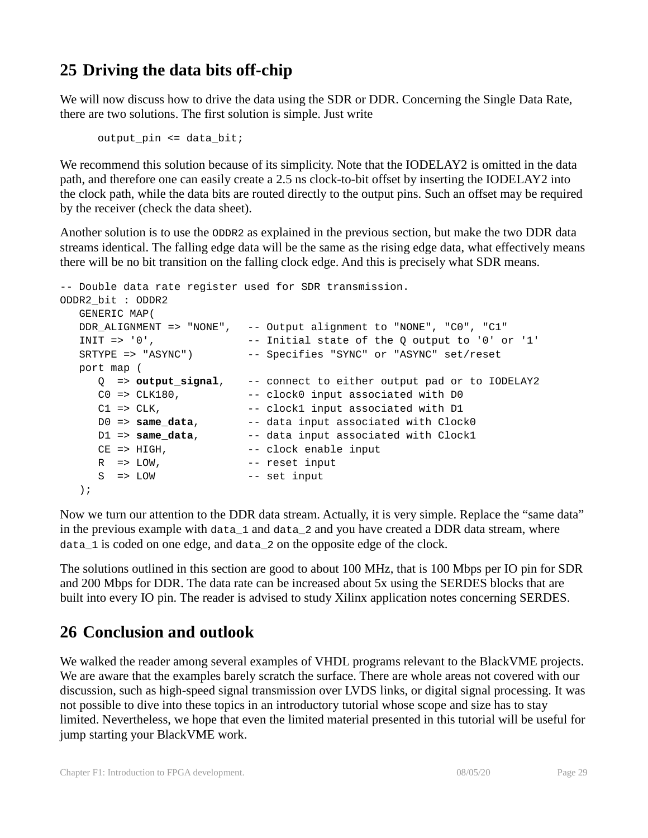# **25 Driving the data bits off-chip**

We will now discuss how to drive the data using the SDR or DDR. Concerning the Single Data Rate, there are two solutions. The first solution is simple. Just write

```
output_pin <= data_bit;
```
We recommend this solution because of its simplicity. Note that the IODELAY2 is omitted in the data path, and therefore one can easily create a 2.5 ns clock-to-bit offset by inserting the IODELAY2 into the clock path, while the data bits are routed directly to the output pins. Such an offset may be required by the receiver (check the data sheet).

Another solution is to use the ODDR2 as explained in the previous section, but make the two DDR data streams identical. The falling edge data will be the same as the rising edge data, what effectively means there will be no bit transition on the falling clock edge. And this is precisely what SDR means.

```
-- Double data rate register used for SDR transmission.
ODDR2_bit : ODDR2
   GENERIC MAP(
   DDR_ALIGNMENT => "NONE", -- Output alignment to "NONE", "C0", "C1" 
  INIT = > '0', - Initial state of the Q output to '0' or '1' SRTYPE => "ASYNC") -- Specifies "SYNC" or "ASYNC" set/reset
   port map (
      Q => output_signal, -- connect to either output pad or to IODELAY2
C0 => CLK180, -- clock0 input associated with D0
C1 => CLK, - -- clock1 input associated with D1
D0 => same_data, -- data input associated with Clock0
D1 => same_data, -- data input associated with Clock1
CE => HIGH, The mode of the clock enable input
R => LOW, -- reset input
    S => LOW -- set input
   );
```
Now we turn our attention to the DDR data stream. Actually, it is very simple. Replace the "same data" in the previous example with data\_1 and data\_2 and you have created a DDR data stream, where data\_1 is coded on one edge, and data\_2 on the opposite edge of the clock.

The solutions outlined in this section are good to about 100 MHz, that is 100 Mbps per IO pin for SDR and 200 Mbps for DDR. The data rate can be increased about 5x using the SERDES blocks that are built into every IO pin. The reader is advised to study Xilinx application notes concerning SERDES.

# **26 Conclusion and outlook**

We walked the reader among several examples of VHDL programs relevant to the BlackVME projects. We are aware that the examples barely scratch the surface. There are whole areas not covered with our discussion, such as high-speed signal transmission over LVDS links, or digital signal processing. It was not possible to dive into these topics in an introductory tutorial whose scope and size has to stay limited. Nevertheless, we hope that even the limited material presented in this tutorial will be useful for jump starting your BlackVME work.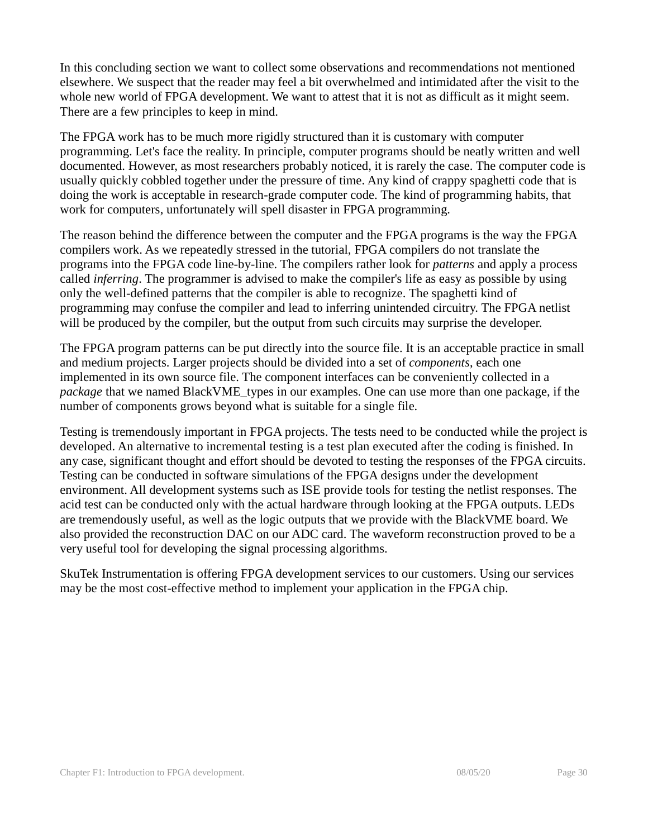In this concluding section we want to collect some observations and recommendations not mentioned elsewhere. We suspect that the reader may feel a bit overwhelmed and intimidated after the visit to the whole new world of FPGA development. We want to attest that it is not as difficult as it might seem. There are a few principles to keep in mind.

The FPGA work has to be much more rigidly structured than it is customary with computer programming. Let's face the reality. In principle, computer programs should be neatly written and well documented. However, as most researchers probably noticed, it is rarely the case. The computer code is usually quickly cobbled together under the pressure of time. Any kind of crappy spaghetti code that is doing the work is acceptable in research-grade computer code. The kind of programming habits, that work for computers, unfortunately will spell disaster in FPGA programming.

The reason behind the difference between the computer and the FPGA programs is the way the FPGA compilers work. As we repeatedly stressed in the tutorial, FPGA compilers do not translate the programs into the FPGA code line-by-line. The compilers rather look for *patterns* and apply a process called *inferring*. The programmer is advised to make the compiler's life as easy as possible by using only the well-defined patterns that the compiler is able to recognize. The spaghetti kind of programming may confuse the compiler and lead to inferring unintended circuitry. The FPGA netlist will be produced by the compiler, but the output from such circuits may surprise the developer.

The FPGA program patterns can be put directly into the source file. It is an acceptable practice in small and medium projects. Larger projects should be divided into a set of *components*, each one implemented in its own source file. The component interfaces can be conveniently collected in a *package* that we named BlackVME\_types in our examples. One can use more than one package, if the number of components grows beyond what is suitable for a single file.

Testing is tremendously important in FPGA projects. The tests need to be conducted while the project is developed. An alternative to incremental testing is a test plan executed after the coding is finished. In any case, significant thought and effort should be devoted to testing the responses of the FPGA circuits. Testing can be conducted in software simulations of the FPGA designs under the development environment. All development systems such as ISE provide tools for testing the netlist responses. The acid test can be conducted only with the actual hardware through looking at the FPGA outputs. LEDs are tremendously useful, as well as the logic outputs that we provide with the BlackVME board. We also provided the reconstruction DAC on our ADC card. The waveform reconstruction proved to be a very useful tool for developing the signal processing algorithms.

SkuTek Instrumentation is offering FPGA development services to our customers. Using our services may be the most cost-effective method to implement your application in the FPGA chip.